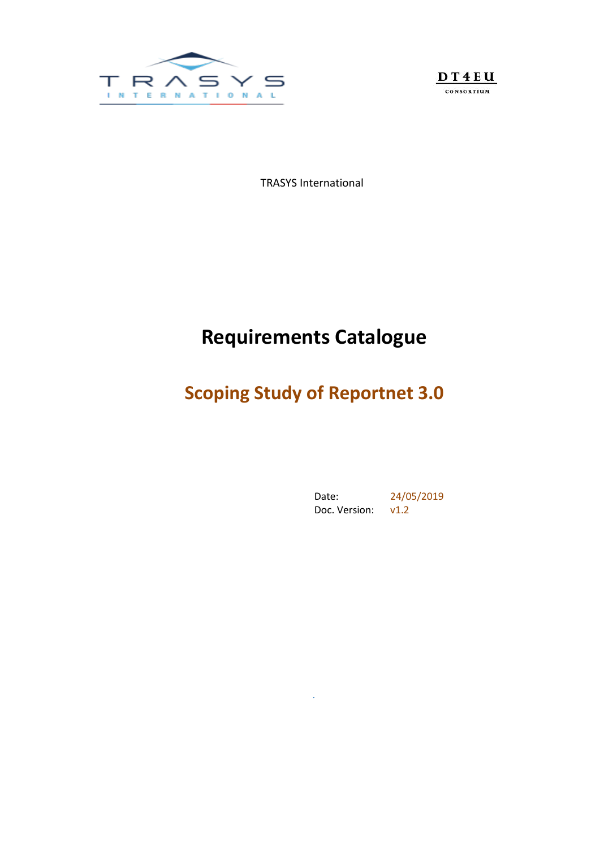



TRASYS International

# **Requirements Catalogue**

# **Scoping Study of Reportnet 3.0**

*.*

Date: 24/05/2019 Doc. Version: v1.2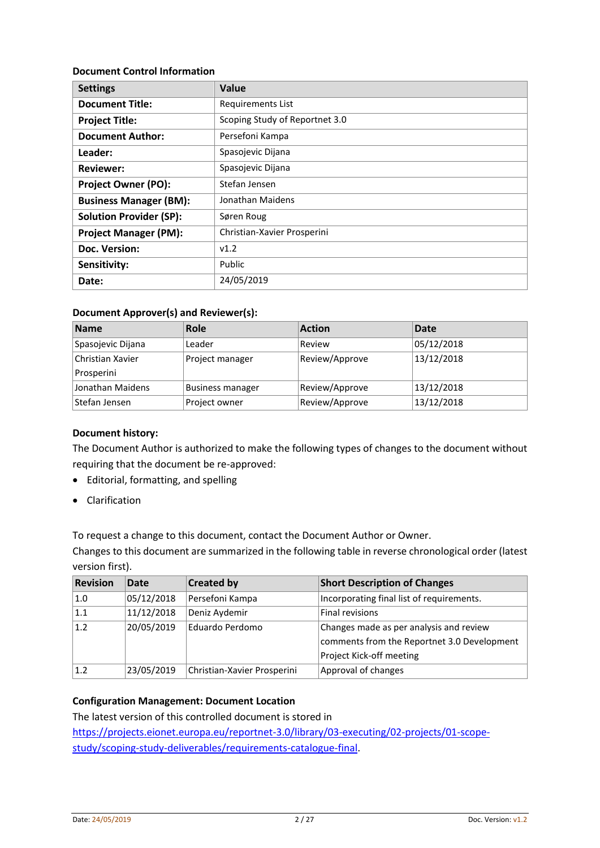#### **Document Control Information**

| <b>Settings</b>                | Value                          |
|--------------------------------|--------------------------------|
| <b>Document Title:</b>         | <b>Requirements List</b>       |
| <b>Project Title:</b>          | Scoping Study of Reportnet 3.0 |
| <b>Document Author:</b>        | Persefoni Kampa                |
| Leader:                        | Spasojevic Dijana              |
| <b>Reviewer:</b>               | Spasojevic Dijana              |
| <b>Project Owner (PO):</b>     | Stefan Jensen                  |
| <b>Business Manager (BM):</b>  | Jonathan Maidens               |
| <b>Solution Provider (SP):</b> | Søren Roug                     |
| <b>Project Manager (PM):</b>   | Christian-Xavier Prosperini    |
| Doc. Version:                  | v1.2                           |
| Sensitivity:                   | Public                         |
| Date:                          | 24/05/2019                     |

#### **Document Approver(s) and Reviewer(s):**

| Name              | Role                    | <b>Action</b>  | Date       |
|-------------------|-------------------------|----------------|------------|
| Spasojevic Dijana | Leader                  | Review         | 05/12/2018 |
| Christian Xavier  | Project manager         | Review/Approve | 13/12/2018 |
| Prosperini        |                         |                |            |
| Jonathan Maidens  | <b>Business manager</b> | Review/Approve | 13/12/2018 |
| Stefan Jensen     | Project owner           | Review/Approve | 13/12/2018 |

### **Document history:**

The Document Author is authorized to make the following types of changes to the document without requiring that the document be re-approved:

- Editorial, formatting, and spelling
- Clarification

To request a change to this document, contact the Document Author or Owner.

Changes to this document are summarized in the following table in reverse chronological order (latest version first).

| <b>Revision</b> | Date       | <b>Created by</b>           | <b>Short Description of Changes</b>         |
|-----------------|------------|-----------------------------|---------------------------------------------|
| 1.0             | 05/12/2018 | Persefoni Kampa             | Incorporating final list of requirements.   |
| 1.1             | 11/12/2018 | Deniz Aydemir               | <b>Final revisions</b>                      |
| 1.2             | 20/05/2019 | Eduardo Perdomo             | Changes made as per analysis and review     |
|                 |            |                             | comments from the Reportnet 3.0 Development |
|                 |            |                             | Project Kick-off meeting                    |
| 1.2             | 23/05/2019 | Christian-Xavier Prosperini | Approval of changes                         |

### **Configuration Management: Document Location**

The latest version of this controlled document is stored in

https://projects.eionet.europa.eu/reportnet-3.0/library/03-executing/02-projects/01-scopestudy/scoping-study-deliverables/requirements-catalogue-final.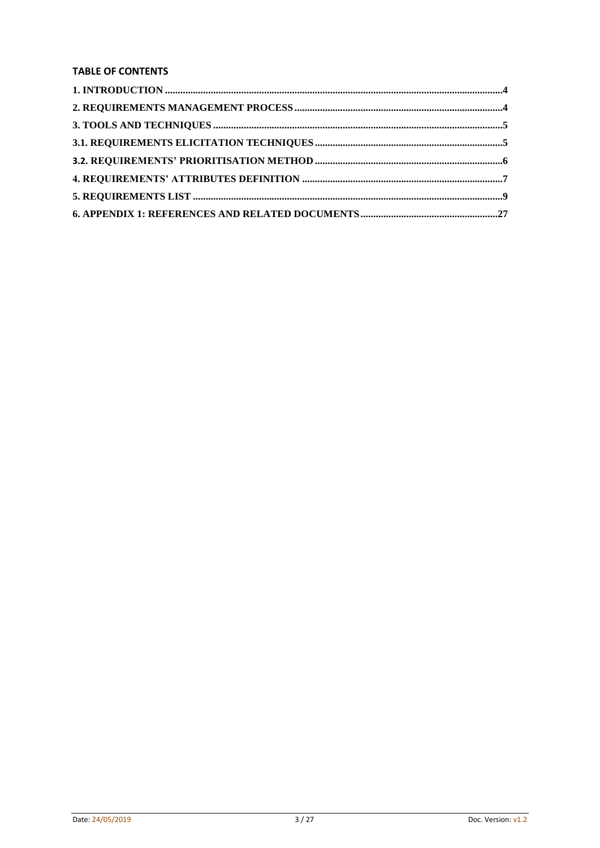## **TABLE OF CONTENTS**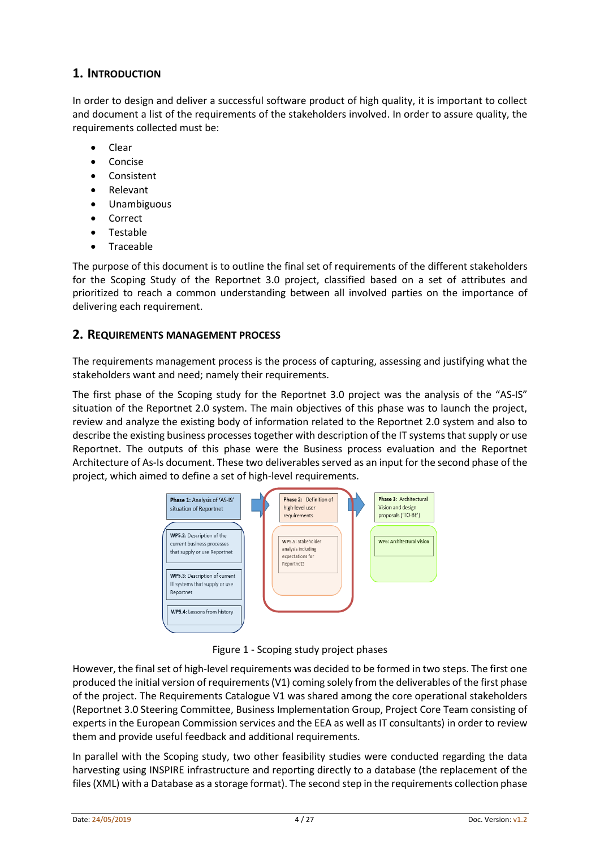# **1. INTRODUCTION**

In order to design and deliver a successful software product of high quality, it is important to collect and document a list of the requirements of the stakeholders involved. In order to assure quality, the requirements collected must be:

- Clear
- Concise
- Consistent
- Relevant
- Unambiguous
- Correct
- Testable
- Traceable

The purpose of this document is to outline the final set of requirements of the different stakeholders for the Scoping Study of the Reportnet 3.0 project, classified based on a set of attributes and prioritized to reach a common understanding between all involved parties on the importance of delivering each requirement.

## **2. REQUIREMENTS MANAGEMENT PROCESS**

The requirements management process is the process of capturing, assessing and justifying what the stakeholders want and need; namely their requirements.

The first phase of the Scoping study for the Reportnet 3.0 project was the analysis of the "AS-IS" situation of the Reportnet 2.0 system. The main objectives of this phase was to launch the project, review and analyze the existing body of information related to the Reportnet 2.0 system and also to describe the existing business processes together with description of the IT systems that supply or use Reportnet. The outputs of this phase were the Business process evaluation and the Reportnet Architecture of As-Is document. These two deliverables served as an input for the second phase of the project, which aimed to define a set of high-level requirements.



Figure 1 - Scoping study project phases

However, the final set of high-level requirements was decided to be formed in two steps. The first one produced the initial version of requirements (V1) coming solely from the deliverables of the first phase of the project. The Requirements Catalogue V1 was shared among the core operational stakeholders (Reportnet 3.0 Steering Committee, Business Implementation Group, Project Core Team consisting of experts in the European Commission services and the EEA as well as IT consultants) in order to review them and provide useful feedback and additional requirements.

In parallel with the Scoping study, two other feasibility studies were conducted regarding the data harvesting using INSPIRE infrastructure and reporting directly to a database (the replacement of the files (XML) with a Database as a storage format). The second step in the requirements collection phase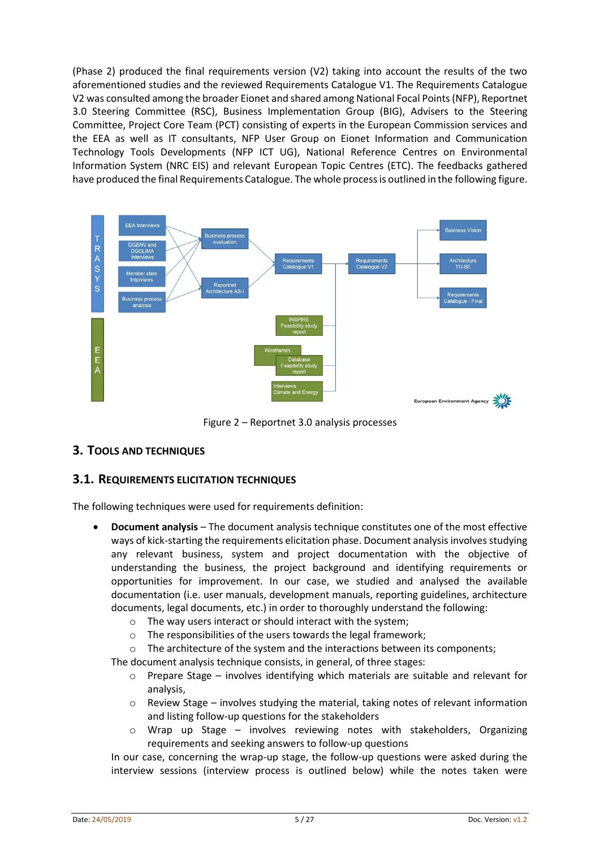(Phase 2) produced the final requirements version (V2) taking into account the results of the two aforementioned studies and the reviewed Requirements Catalogue V1. The Requirements Catalogue V2 was consulted among the broader Eionet and shared among National Focal Points (NFP), Reportnet 3.0 Steering Committee (RSC), Business Implementation Group (BIG), Advisers to the Steering Committee, Project Core Team (PCT) consisting of experts in the European Commission services and the EEA as well as IT consultants, NFP User Group on Eionet Information and Communication Technology Tools Developments (NFP ICT UG), National Reference Centres on Environmental Information System (NRC EIS) and relevant European Topic Centres (ETC). The feedbacks gathered have produced the final Requirements Catalogue. The whole process is outlined in the following figure.



Figure 2 – Reportnet 3.0 analysis processes

# **3. TOOLS AND TECHNIQUES**

## **3.1. REQUIREMENTS ELICITATION TECHNIQUES**

The following techniques were used for requirements definition:

- **Document analysis** The document analysis technique constitutes one of the most effective ways of kick-starting the requirements elicitation phase. Document analysis involves studying any relevant business, system and project documentation with the objective of understanding the business, the project background and identifying requirements or opportunities for improvement. In our case, we studied and analysed the available documentation (i.e. user manuals, development manuals, reporting guidelines, architecture documents, legal documents, etc.) in order to thoroughly understand the following:
	- o The way users interact or should interact with the system;
	- o The responsibilities of the users towards the legal framework;
	- o The architecture of the system and the interactions between its components;

The document analysis technique consists, in general, of three stages:

- o Prepare Stage involves identifying which materials are suitable and relevant for analysis,
- o Review Stage involves studying the material, taking notes of relevant information and listing follow-up questions for the stakeholders
- $\circ$  Wrap up Stage involves reviewing notes with stakeholders, Organizing requirements and seeking answers to follow-up questions

In our case, concerning the wrap-up stage, the follow-up questions were asked during the interview sessions (interview process is outlined below) while the notes taken were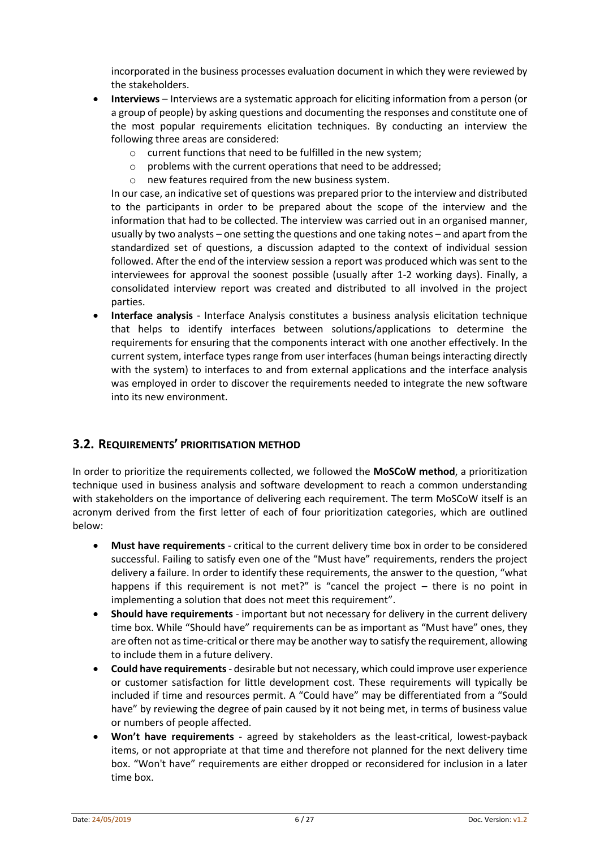incorporated in the business processes evaluation document in which they were reviewed by the stakeholders.

- **Interviews** Interviews are a systematic approach for eliciting information from a person (or a group of people) by asking questions and documenting the responses and constitute one of the most popular requirements elicitation techniques. By conducting an interview the following three areas are considered:
	- o current functions that need to be fulfilled in the new system;
	- o problems with the current operations that need to be addressed;
	- o new features required from the new business system.

In our case, an indicative set of questions was prepared prior to the interview and distributed to the participants in order to be prepared about the scope of the interview and the information that had to be collected. The interview was carried out in an organised manner, usually by two analysts – one setting the questions and one taking notes – and apart from the standardized set of questions, a discussion adapted to the context of individual session followed. After the end of the interview session a report was produced which wassent to the interviewees for approval the soonest possible (usually after 1-2 working days). Finally, a consolidated interview report was created and distributed to all involved in the project parties.

 **Interface analysis** - Interface Analysis constitutes a business analysis elicitation technique that helps to identify interfaces between solutions/applications to determine the requirements for ensuring that the components interact with one another effectively. In the current system, interface types range from user interfaces (human beings interacting directly with the system) to interfaces to and from external applications and the interface analysis was employed in order to discover the requirements needed to integrate the new software into its new environment.

## <span id="page-5-0"></span>**3.2. REQUIREMENTS' PRIORITISATION METHOD**

In order to prioritize the requirements collected, we followed the **MoSCoW method**, a prioritization technique used in business analysis and software development to reach a common understanding with stakeholders on the importance of delivering each requirement. The term MoSCoW itself is an acronym derived from the first letter of each of four prioritization categories, which are outlined below:

- **Must have requirements** critical to the current delivery time box in order to be considered successful. Failing to satisfy even one of the "Must have" requirements, renders the project delivery a failure. In order to identify these requirements, the answer to the question, "what happens if this requirement is not met?" is "cancel the project – there is no point in implementing a solution that does not meet this requirement".
- **Should have requirements** important but not necessary for delivery in the current delivery time box. While "Should have" requirements can be as important as "Must have" ones, they are often not as time-critical or there may be another way to satisfy the requirement, allowing to include them in a future delivery.
- **Could have requirements** desirable but not necessary, which could improve user experience or customer satisfaction for little development cost. These requirements will typically be included if time and resources permit. A "Could have" may be differentiated from a "Sould have" by reviewing the degree of pain caused by it not being met, in terms of business value or numbers of people affected.
- **Won't have requirements** agreed by stakeholders as the least-critical, lowest-payback items, or not appropriate at that time and therefore not planned for the next delivery time box. "Won't have" requirements are either dropped or reconsidered for inclusion in a later time box.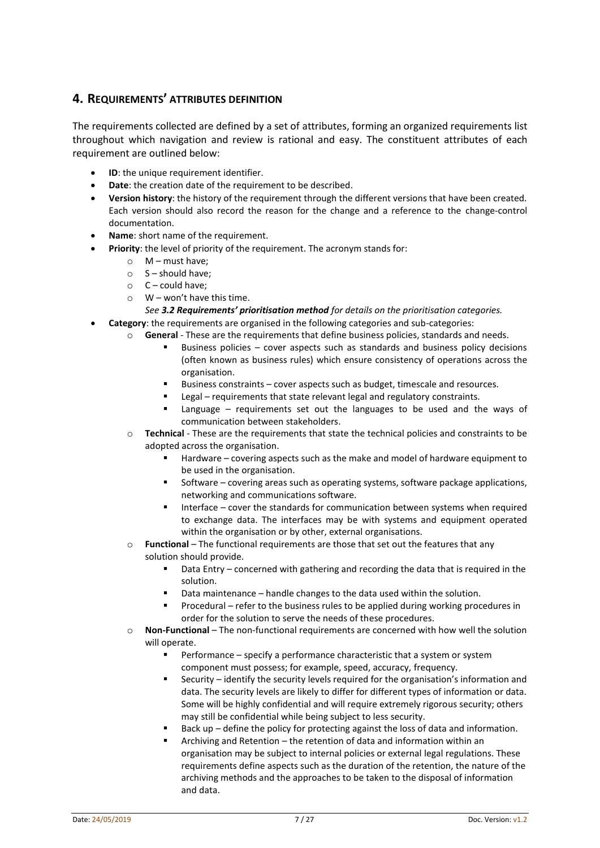# **4. REQUIREMENTS' ATTRIBUTES DEFINITION**

The requirements collected are defined by a set of attributes, forming an organized requirements list throughout which navigation and review is rational and easy. The constituent attributes of each requirement are outlined below:

- **ID**: the unique requirement identifier.
- **Date**: the creation date of the requirement to be described.
- **Version history**: the history of the requirement through the different versions that have been created. Each version should also record the reason for the change and a reference to the change-control documentation.
- **Name**: short name of the requirement.
- **Priority**: the level of priority of the requirement. The acronym stands for:
	- o M must have;
	- $\circ$  S should have;
	- $C$  could have:
	- $\circ$  W won't have this time.

#### *See [3.2](#page-5-0) Requirements' [prioritisation method](#page-5-0) for details on the prioritisation categories.*

- **Category**: the requirements are organised in the following categories and sub-categories:
	- o **General** These are the requirements that define business policies, standards and needs.
		- Business policies cover aspects such as standards and business policy decisions (often known as business rules) which ensure consistency of operations across the organisation.
		- Business constraints cover aspects such as budget, timescale and resources.
		- Legal requirements that state relevant legal and regulatory constraints.
		- Language requirements set out the languages to be used and the ways of communication between stakeholders.
	- o **Technical** These are the requirements that state the technical policies and constraints to be adopted across the organisation.
		- Hardware covering aspects such as the make and model of hardware equipment to be used in the organisation.
		- **Software covering areas such as operating systems, software package applications,** networking and communications software.
		- Interface cover the standards for communication between systems when required to exchange data. The interfaces may be with systems and equipment operated within the organisation or by other, external organisations.
	- o **Functional** The functional requirements are those that set out the features that any solution should provide.
		- Data Entry concerned with gathering and recording the data that is required in the solution.
		- Data maintenance handle changes to the data used within the solution.
		- **Procedural refer to the business rules to be applied during working procedures in** order for the solution to serve the needs of these procedures.
	- o **Non-Functional** The non-functional requirements are concerned with how well the solution will operate.
		- Performance specify a performance characteristic that a system or system component must possess; for example, speed, accuracy, frequency.
		- Security identify the security levels required for the organisation's information and data. The security levels are likely to differ for different types of information or data. Some will be highly confidential and will require extremely rigorous security; others may still be confidential while being subject to less security.
		- Back up define the policy for protecting against the loss of data and information.
		- Archiving and Retention the retention of data and information within an organisation may be subject to internal policies or external legal regulations. These requirements define aspects such as the duration of the retention, the nature of the archiving methods and the approaches to be taken to the disposal of information and data.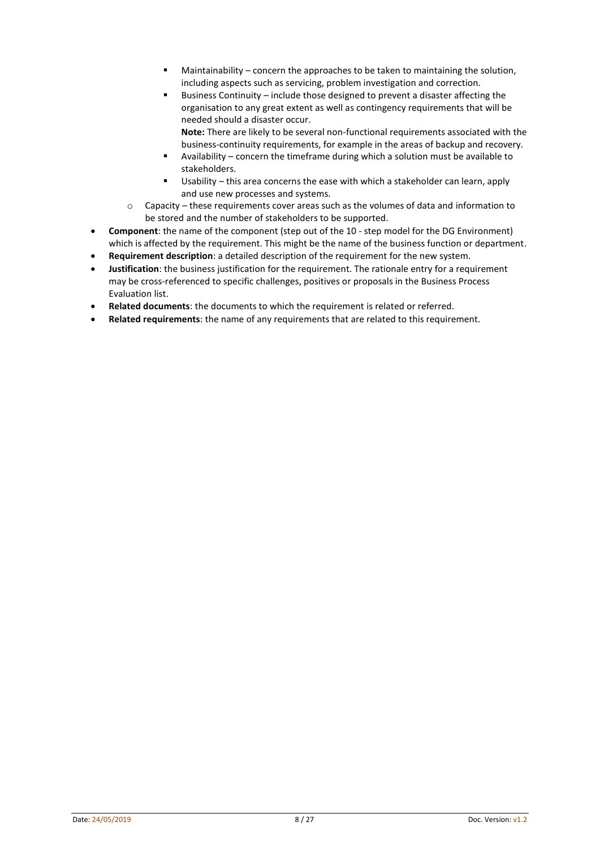- Maintainability concern the approaches to be taken to maintaining the solution, including aspects such as servicing, problem investigation and correction.
- Business Continuity include those designed to prevent a disaster affecting the organisation to any great extent as well as contingency requirements that will be needed should a disaster occur. **Note:** There are likely to be several non-functional requirements associated with the
- business-continuity requirements, for example in the areas of backup and recovery. Availability – concern the timeframe during which a solution must be available to stakeholders.
- Usability this area concerns the ease with which a stakeholder can learn, apply and use new processes and systems.
- $\circ$  Capacity these requirements cover areas such as the volumes of data and information to be stored and the number of stakeholders to be supported.
- **Component**: the name of the component (step out of the 10 step model for the DG Environment) which is affected by the requirement. This might be the name of the business function or department.
- **Requirement description**: a detailed description of the requirement for the new system.
- **Justification**: the business justification for the requirement. The rationale entry for a requirement may be cross-referenced to specific challenges, positives or proposals in the Business Process Evaluation list.
- **Related documents**: the documents to which the requirement is related or referred.
- **Related requirements**: the name of any requirements that are related to this requirement.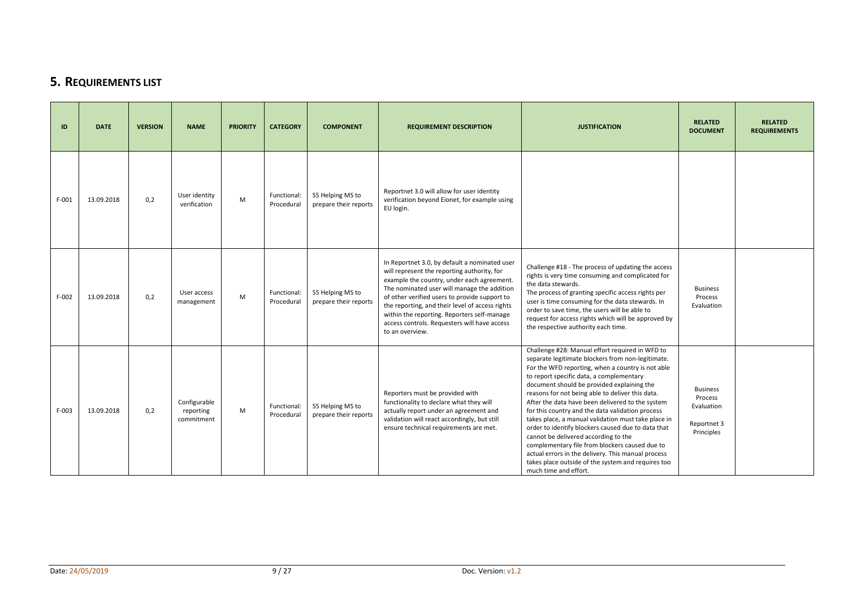# **5. REQUIREMENTS LIST**

| ID      | <b>DATE</b> | <b>VERSION</b> | <b>NAME</b>                             | <b>PRIORITY</b> | <b>CATEGORY</b>           | <b>COMPONENT</b>                          | <b>REQUIREMENT DESCRIPTION</b>                                                                                                                                                                                                                                                                                                                                                                                  | <b>JUSTIFICATION</b>                                                                                                                                                                                                                                                                                                                                                                                                                                                                                                                                                                                                                                                                                                                                        | <b>RELATED</b><br><b>DOCUMENT</b>                                     | <b>RELATED</b><br><b>REQUIREMENTS</b> |
|---------|-------------|----------------|-----------------------------------------|-----------------|---------------------------|-------------------------------------------|-----------------------------------------------------------------------------------------------------------------------------------------------------------------------------------------------------------------------------------------------------------------------------------------------------------------------------------------------------------------------------------------------------------------|-------------------------------------------------------------------------------------------------------------------------------------------------------------------------------------------------------------------------------------------------------------------------------------------------------------------------------------------------------------------------------------------------------------------------------------------------------------------------------------------------------------------------------------------------------------------------------------------------------------------------------------------------------------------------------------------------------------------------------------------------------------|-----------------------------------------------------------------------|---------------------------------------|
| $F-001$ | 13.09.2018  | 0,2            | User identity<br>verification           | M               | Functional:<br>Procedural | S5 Helping MS to<br>prepare their reports | Reportnet 3.0 will allow for user identity<br>verification beyond Eionet, for example using<br>EU login.                                                                                                                                                                                                                                                                                                        |                                                                                                                                                                                                                                                                                                                                                                                                                                                                                                                                                                                                                                                                                                                                                             |                                                                       |                                       |
| $F-002$ | 13.09.2018  | 0.2            | User access<br>management               | M               | Functional:<br>Procedural | S5 Helping MS to<br>prepare their reports | In Reportnet 3.0, by default a nominated user<br>will represent the reporting authority, for<br>example the country, under each agreement.<br>The nominated user will manage the addition<br>of other verified users to provide support to<br>the reporting, and their level of access rights<br>within the reporting. Reporters self-manage<br>access controls. Requesters will have access<br>to an overview. | Challenge #18 - The process of updating the access<br>rights is very time consuming and complicated for<br>the data stewards.<br>The process of granting specific access rights per<br>user is time consuming for the data stewards. In<br>order to save time, the users will be able to<br>request for access rights which will be approved by<br>the respective authority each time.                                                                                                                                                                                                                                                                                                                                                                      | <b>Business</b><br>Process<br>Evaluation                              |                                       |
| $F-003$ | 13.09.2018  | 0,2            | Configurable<br>reporting<br>commitment | M               | Functional:<br>Procedural | S5 Helping MS to<br>prepare their reports | Reporters must be provided with<br>functionality to declare what they will<br>actually report under an agreement and<br>validation will react accordingly, but still<br>ensure technical requirements are met.                                                                                                                                                                                                  | Challenge #28: Manual effort required in WFD to<br>separate legitimate blockers from non-legitimate.<br>For the WFD reporting, when a country is not able<br>to report specific data, a complementary<br>document should be provided explaining the<br>reasons for not being able to deliver this data.<br>After the data have been delivered to the system<br>for this country and the data validation process<br>takes place, a manual validation must take place in<br>order to identify blockers caused due to data that<br>cannot be delivered according to the<br>complementary file from blockers caused due to<br>actual errors in the delivery. This manual process<br>takes place outside of the system and requires too<br>much time and effort. | <b>Business</b><br>Process<br>Evaluation<br>Reportnet 3<br>Principles |                                       |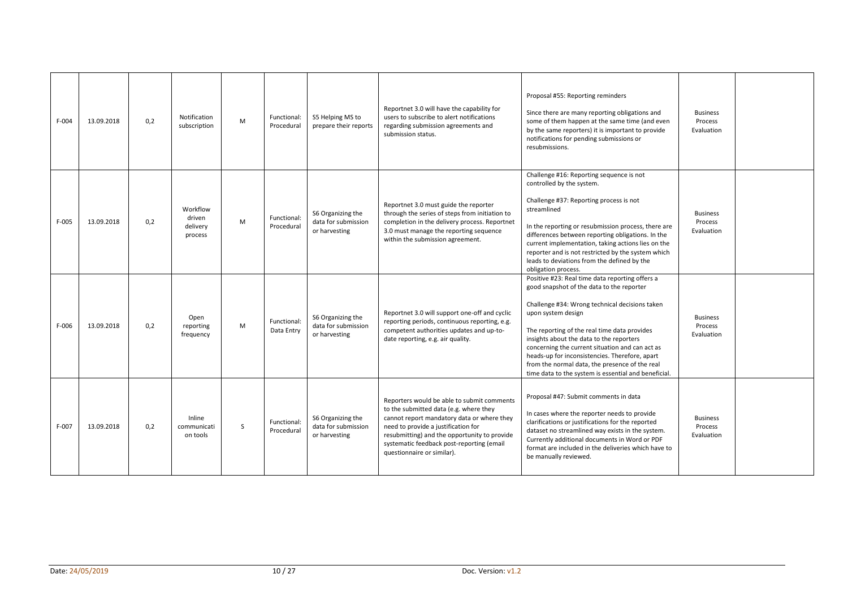| $F-004$ | 13.09.2018 | 0,2 | Notification<br>subscription              | M  | Functional:<br>Procedural | S5 Helping MS to<br>prepare their reports                 | Reportnet 3.0 will have the capability for<br>users to subscribe to alert notifications<br>regarding submission agreements and<br>submission status.                                                                                                                                                 | Proposal #55: Reporting reminders<br>Since there are many reporting obligations and<br>some of them happen at the same time (and even<br>by the same reporters) it is important to provide<br>notifications for pending submissions or<br>resubmissions.                                                                                                                                                                                                                        | <b>Business</b><br>Process<br>Evaluation |  |
|---------|------------|-----|-------------------------------------------|----|---------------------------|-----------------------------------------------------------|------------------------------------------------------------------------------------------------------------------------------------------------------------------------------------------------------------------------------------------------------------------------------------------------------|---------------------------------------------------------------------------------------------------------------------------------------------------------------------------------------------------------------------------------------------------------------------------------------------------------------------------------------------------------------------------------------------------------------------------------------------------------------------------------|------------------------------------------|--|
| $F-005$ | 13.09.2018 | 0,2 | Workflow<br>driven<br>delivery<br>process | M  | Functional:<br>Procedural | S6 Organizing the<br>data for submission<br>or harvesting | Reportnet 3.0 must guide the reporter<br>through the series of steps from initiation to<br>completion in the delivery process. Reportnet<br>3.0 must manage the reporting sequence<br>within the submission agreement.                                                                               | Challenge #16: Reporting sequence is not<br>controlled by the system.<br>Challenge #37: Reporting process is not<br>streamlined<br>In the reporting or resubmission process, there are<br>differences between reporting obligations. In the<br>current implementation, taking actions lies on the<br>reporter and is not restricted by the system which<br>leads to deviations from the defined by the<br>obligation process.                                                   | <b>Business</b><br>Process<br>Evaluation |  |
| $F-006$ | 13.09.2018 | 0,2 | Open<br>reporting<br>frequency            | M  | Functional:<br>Data Entry | S6 Organizing the<br>data for submission<br>or harvesting | Reportnet 3.0 will support one-off and cyclic<br>reporting periods, continuous reporting, e.g.<br>competent authorities updates and up-to-<br>date reporting, e.g. air quality.                                                                                                                      | Positive #23: Real time data reporting offers a<br>good snapshot of the data to the reporter<br>Challenge #34: Wrong technical decisions taken<br>upon system design<br>The reporting of the real time data provides<br>insights about the data to the reporters<br>concerning the current situation and can act as<br>heads-up for inconsistencies. Therefore, apart<br>from the normal data, the presence of the real<br>time data to the system is essential and beneficial. | <b>Business</b><br>Process<br>Evaluation |  |
| F-007   | 13.09.2018 | 0.2 | Inline<br>communicati<br>on tools         | S. | Functional:<br>Procedural | S6 Organizing the<br>data for submission<br>or harvesting | Reporters would be able to submit comments<br>to the submitted data (e.g. where they<br>cannot report mandatory data or where they<br>need to provide a justification for<br>resubmitting) and the opportunity to provide<br>systematic feedback post-reporting (email<br>questionnaire or similar). | Proposal #47: Submit comments in data<br>In cases where the reporter needs to provide<br>clarifications or justifications for the reported<br>dataset no streamlined way exists in the system.<br>Currently additional documents in Word or PDF<br>format are included in the deliveries which have to<br>be manually reviewed.                                                                                                                                                 | <b>Business</b><br>Process<br>Evaluation |  |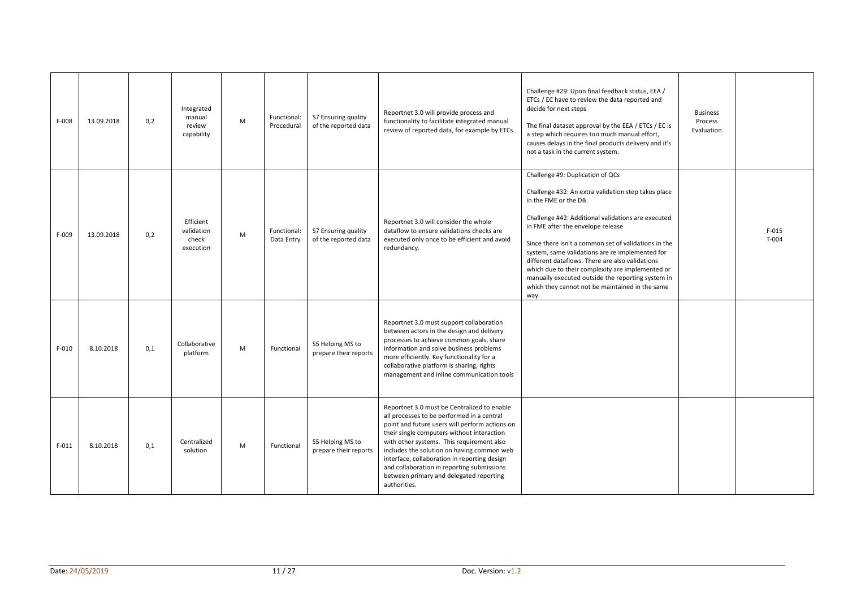| $F-008$ | 13.09.2018 | 0,2 | Integrated<br>manual<br>review<br>capability  | M | Functional:<br>Procedural | S7 Ensuring quality<br>of the reported data | Reportnet 3.0 will provide process and<br>functionality to facilitate integrated manual<br>review of reported data, for example by ETCs.                                                                                                                                                                                                                                                                                                      | Challenge #29: Upon final feedback status, EEA /<br>ETCs / EC have to review the data reported and<br>decide for next steps<br>The final dataset approval by the EEA / ETCs / EC is<br>a step which requires too much manual effort,<br>causes delays in the final products delivery and it's<br>not a task in the current system.                                                                                                                                                                                                            | <b>Business</b><br>Process<br>Evaluation |                    |
|---------|------------|-----|-----------------------------------------------|---|---------------------------|---------------------------------------------|-----------------------------------------------------------------------------------------------------------------------------------------------------------------------------------------------------------------------------------------------------------------------------------------------------------------------------------------------------------------------------------------------------------------------------------------------|-----------------------------------------------------------------------------------------------------------------------------------------------------------------------------------------------------------------------------------------------------------------------------------------------------------------------------------------------------------------------------------------------------------------------------------------------------------------------------------------------------------------------------------------------|------------------------------------------|--------------------|
| F-009   | 13.09.2018 | 0,2 | Efficient<br>validation<br>check<br>execution | M | Functional:<br>Data Entry | S7 Ensuring quality<br>of the reported data | Reportnet 3.0 will consider the whole<br>dataflow to ensure validations checks are<br>executed only once to be efficient and avoid<br>redundancy.                                                                                                                                                                                                                                                                                             | Challenge #9: Duplication of QCs<br>Challenge #32: An extra validation step takes place<br>in the FME or the DB.<br>Challenge #42: Additional validations are executed<br>in FME after the envelope release<br>Since there isn't a common set of validations in the<br>system, same validations are re implemented for<br>different dataflows. There are also validations<br>which due to their complexity are implemented or<br>manually executed outside the reporting system in<br>which they cannot not be maintained in the same<br>way. |                                          | $F-015$<br>$T-004$ |
| $F-010$ | 8.10.2018  | 0,1 | Collaborative<br>platform                     | M | Functional                | S5 Helping MS to<br>prepare their reports   | Reportnet 3.0 must support collaboration<br>between actors in the design and delivery<br>processes to achieve common goals, share<br>information and solve business problems<br>more efficiently. Key functionality for a<br>collaborative platform is sharing, rights<br>management and inline communication tools                                                                                                                           |                                                                                                                                                                                                                                                                                                                                                                                                                                                                                                                                               |                                          |                    |
| $F-011$ | 8.10.2018  | 0,1 | Centralized<br>solution                       | M | Functional                | S5 Helping MS to<br>prepare their reports   | Reportnet 3.0 must be Centralized to enable<br>all processes to be performed in a central<br>point and future users will perform actions on<br>their single computers without interaction<br>with other systems. This requirement also<br>includes the solution on having common web<br>interface, collaboration in reporting design<br>and collaboration in reporting submissions<br>between primary and delegated reporting<br>authorities. |                                                                                                                                                                                                                                                                                                                                                                                                                                                                                                                                               |                                          |                    |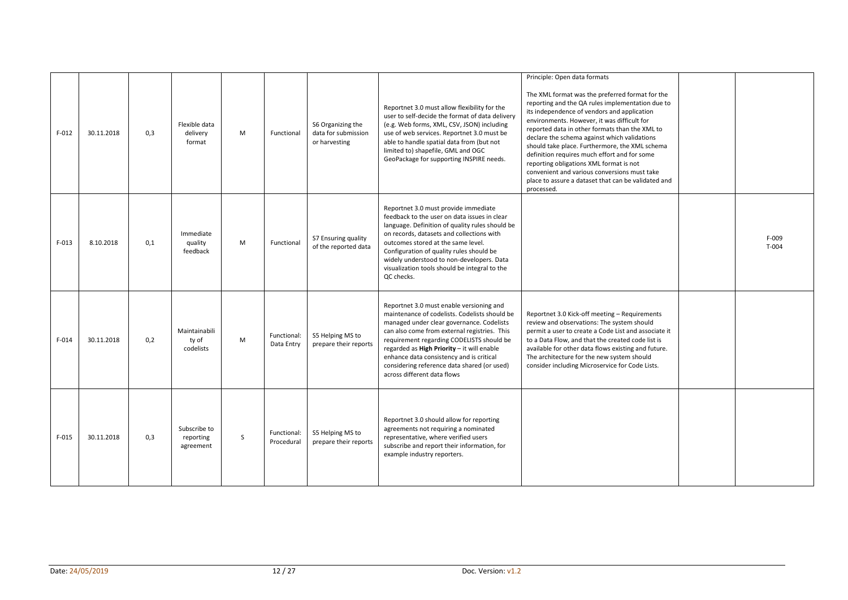| $F-012$ | 30.11.2018 | 0,3 | Flexible data<br>delivery<br>format    | M | Functional                | S6 Organizing the<br>data for submission<br>or harvesting | Reportnet 3.0 must allow flexibility for the<br>user to self-decide the format of data delivery<br>(e.g. Web forms, XML, CSV, JSON) including<br>use of web services. Reportnet 3.0 must be<br>able to handle spatial data from (but not<br>limited to) shapefile, GML and OGC<br>GeoPackage for supporting INSPIRE needs.                                                                                  | Principle: Open data formats<br>The XML format was the preferred format for the<br>reporting and the QA rules implementation due to<br>its independence of vendors and application<br>environments. However, it was difficult for<br>reported data in other formats than the XML to<br>declare the schema against which validations<br>should take place. Furthermore, the XML schema<br>definition requires much effort and for some<br>reporting obligations XML format is not<br>convenient and various conversions must take<br>place to assure a dataset that can be validated and<br>processed. |                    |
|---------|------------|-----|----------------------------------------|---|---------------------------|-----------------------------------------------------------|-------------------------------------------------------------------------------------------------------------------------------------------------------------------------------------------------------------------------------------------------------------------------------------------------------------------------------------------------------------------------------------------------------------|-------------------------------------------------------------------------------------------------------------------------------------------------------------------------------------------------------------------------------------------------------------------------------------------------------------------------------------------------------------------------------------------------------------------------------------------------------------------------------------------------------------------------------------------------------------------------------------------------------|--------------------|
| $F-013$ | 8.10.2018  | 0.1 | Immediate<br>quality<br>feedback       | M | Functional                | S7 Ensuring quality<br>of the reported data               | Reportnet 3.0 must provide immediate<br>feedback to the user on data issues in clear<br>language. Definition of quality rules should be<br>on records, datasets and collections with<br>outcomes stored at the same level.<br>Configuration of quality rules should be<br>widely understood to non-developers. Data<br>visualization tools should be integral to the<br>QC checks.                          |                                                                                                                                                                                                                                                                                                                                                                                                                                                                                                                                                                                                       | $F-009$<br>$T-004$ |
| $F-014$ | 30.11.2018 | 0,2 | Maintainabili<br>ty of<br>codelists    | M | Functional:<br>Data Entry | S5 Helping MS to<br>prepare their reports                 | Reportnet 3.0 must enable versioning and<br>maintenance of codelists. Codelists should be<br>managed under clear governance. Codelists<br>can also come from external registries. This<br>requirement regarding CODELISTS should be<br>regarded as High Priority - it will enable<br>enhance data consistency and is critical<br>considering reference data shared (or used)<br>across different data flows | Reportnet 3.0 Kick-off meeting - Requirements<br>review and observations: The system should<br>permit a user to create a Code List and associate it<br>to a Data Flow, and that the created code list is<br>available for other data flows existing and future.<br>The architecture for the new system should<br>consider including Microservice for Code Lists.                                                                                                                                                                                                                                      |                    |
| $F-015$ | 30.11.2018 | 0.3 | Subscribe to<br>reporting<br>agreement | S | Functional:<br>Procedural | S5 Helping MS to<br>prepare their reports                 | Reportnet 3.0 should allow for reporting<br>agreements not requiring a nominated<br>representative, where verified users<br>subscribe and report their information, for<br>example industry reporters.                                                                                                                                                                                                      |                                                                                                                                                                                                                                                                                                                                                                                                                                                                                                                                                                                                       |                    |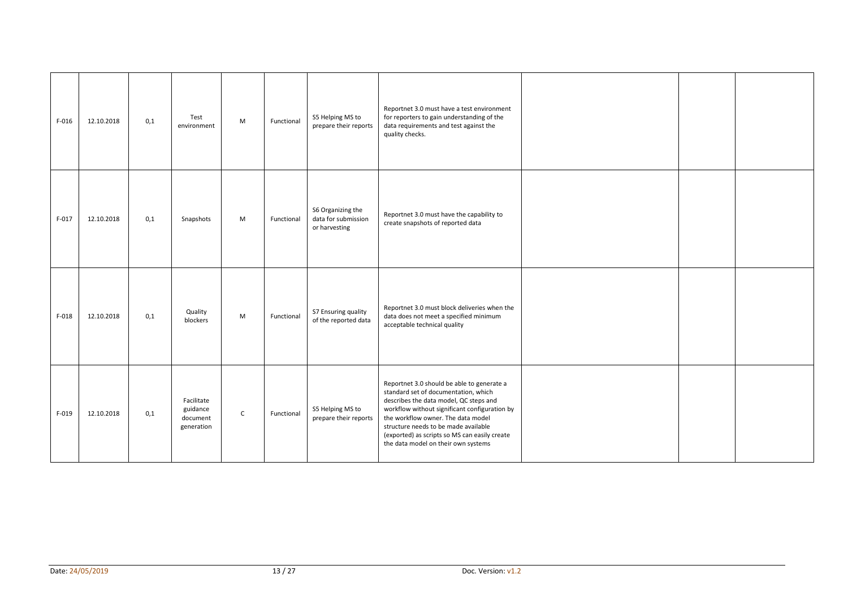| $F-016$ | 12.10.2018 | 0,1 | Test<br>environment                              | M            | Functional | S5 Helping MS to<br>prepare their reports                 | Reportnet 3.0 must have a test environment<br>for reporters to gain understanding of the<br>data requirements and test against the<br>quality checks.                                                                                                                                                                                               |  |  |
|---------|------------|-----|--------------------------------------------------|--------------|------------|-----------------------------------------------------------|-----------------------------------------------------------------------------------------------------------------------------------------------------------------------------------------------------------------------------------------------------------------------------------------------------------------------------------------------------|--|--|
| $F-017$ | 12.10.2018 | 0,1 | Snapshots                                        | M            | Functional | S6 Organizing the<br>data for submission<br>or harvesting | Reportnet 3.0 must have the capability to<br>create snapshots of reported data                                                                                                                                                                                                                                                                      |  |  |
| $F-018$ | 12.10.2018 | 0,1 | Quality<br>blockers                              | M            | Functional | S7 Ensuring quality<br>of the reported data               | Reportnet 3.0 must block deliveries when the<br>data does not meet a specified minimum<br>acceptable technical quality                                                                                                                                                                                                                              |  |  |
| $F-019$ | 12.10.2018 | 0,1 | Facilitate<br>guidance<br>document<br>generation | $\mathsf{C}$ | Functional | S5 Helping MS to<br>prepare their reports                 | Reportnet 3.0 should be able to generate a<br>standard set of documentation, which<br>describes the data model, QC steps and<br>workflow without significant configuration by<br>the workflow owner. The data model<br>structure needs to be made available<br>(exported) as scripts so MS can easily create<br>the data model on their own systems |  |  |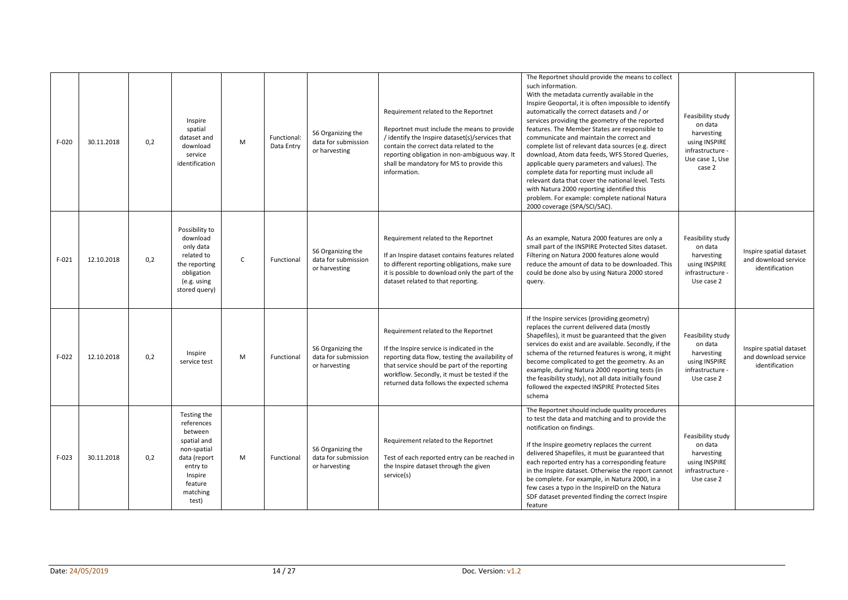| $F-020$ | 30.11.2018 | 0,2 | Inspire<br>spatial<br>dataset and<br>download<br>service<br>identification                                                                | M            | Functional:<br>Data Entry | S6 Organizing the<br>data for submission<br>or harvesting | Requirement related to the Reportnet<br>Reportnet must include the means to provide<br>/ identify the Inspire dataset(s)/services that<br>contain the correct data related to the<br>reporting obligation in non-ambiguous way. It<br>shall be mandatory for MS to provide this<br>information. | The Reportnet should provide the means to collect<br>such information.<br>With the metadata currently available in the<br>Inspire Geoportal, it is often impossible to identify<br>automatically the correct datasets and / or<br>services providing the geometry of the reported<br>features. The Member States are responsible to<br>communicate and maintain the correct and<br>complete list of relevant data sources (e.g. direct<br>download, Atom data feeds, WFS Stored Queries,<br>applicable query parameters and values). The<br>complete data for reporting must include all<br>relevant data that cover the national level. Tests<br>with Natura 2000 reporting identified this<br>problem. For example: complete national Natura<br>2000 coverage (SPA/SCI/SAC). | Feasibility study<br>on data<br>harvesting<br>using INSPIRE<br>infrastructure -<br>Use case 1, Use<br>case 2 |                                                                   |
|---------|------------|-----|-------------------------------------------------------------------------------------------------------------------------------------------|--------------|---------------------------|-----------------------------------------------------------|-------------------------------------------------------------------------------------------------------------------------------------------------------------------------------------------------------------------------------------------------------------------------------------------------|--------------------------------------------------------------------------------------------------------------------------------------------------------------------------------------------------------------------------------------------------------------------------------------------------------------------------------------------------------------------------------------------------------------------------------------------------------------------------------------------------------------------------------------------------------------------------------------------------------------------------------------------------------------------------------------------------------------------------------------------------------------------------------|--------------------------------------------------------------------------------------------------------------|-------------------------------------------------------------------|
| $F-021$ | 12.10.2018 | 0,2 | Possibility to<br>download<br>only data<br>related to<br>the reporting<br>obligation<br>(e.g. using<br>stored query)                      | $\mathsf{C}$ | Functional                | S6 Organizing the<br>data for submission<br>or harvesting | Requirement related to the Reportnet<br>If an Inspire dataset contains features related<br>to different reporting obligations, make sure<br>it is possible to download only the part of the<br>dataset related to that reporting.                                                               | As an example, Natura 2000 features are only a<br>small part of the INSPIRE Protected Sites dataset.<br>Filtering on Natura 2000 features alone would<br>reduce the amount of data to be downloaded. This<br>could be done also by using Natura 2000 stored<br>query.                                                                                                                                                                                                                                                                                                                                                                                                                                                                                                          | Feasibility study<br>on data<br>harvesting<br>using INSPIRE<br>infrastructure -<br>Use case 2                | Inspire spatial dataset<br>and download service<br>identification |
| $F-022$ | 12.10.2018 | 0,2 | Inspire<br>service test                                                                                                                   | M            | Functional                | S6 Organizing the<br>data for submission<br>or harvesting | Requirement related to the Reportnet<br>If the Inspire service is indicated in the<br>reporting data flow, testing the availability of<br>that service should be part of the reporting<br>workflow. Secondly, it must be tested if the<br>returned data follows the expected schema             | If the Inspire services (providing geometry)<br>replaces the current delivered data (mostly<br>Shapefiles), it must be guaranteed that the given<br>services do exist and are available. Secondly, if the<br>schema of the returned features is wrong, it might<br>become complicated to get the geometry. As an<br>example, during Natura 2000 reporting tests (in<br>the feasibility study), not all data initially found<br>followed the expected INSPIRE Protected Sites<br>schema                                                                                                                                                                                                                                                                                         | Feasibility study<br>on data<br>harvesting<br>using INSPIRE<br>infrastructure -<br>Use case 2                | Inspire spatial dataset<br>and download service<br>identification |
| $F-023$ | 30.11.2018 | 0,2 | Testing the<br>references<br>between<br>spatial and<br>non-spatial<br>data (report<br>entry to<br>Inspire<br>feature<br>matching<br>test) | M            | Functional                | S6 Organizing the<br>data for submission<br>or harvesting | Requirement related to the Reportnet<br>Test of each reported entry can be reached in<br>the Inspire dataset through the given<br>service(s)                                                                                                                                                    | The Reportnet should include quality procedures<br>to test the data and matching and to provide the<br>notification on findings.<br>If the Inspire geometry replaces the current<br>delivered Shapefiles, it must be guaranteed that<br>each reported entry has a corresponding feature<br>in the Inspire dataset. Otherwise the report cannot<br>be complete. For example, in Natura 2000, in a<br>few cases a typo in the InspireID on the Natura<br>SDF dataset prevented finding the correct Inspire<br>feature                                                                                                                                                                                                                                                            | Feasibility study<br>on data<br>harvesting<br>using INSPIRE<br>infrastructure -<br>Use case 2                |                                                                   |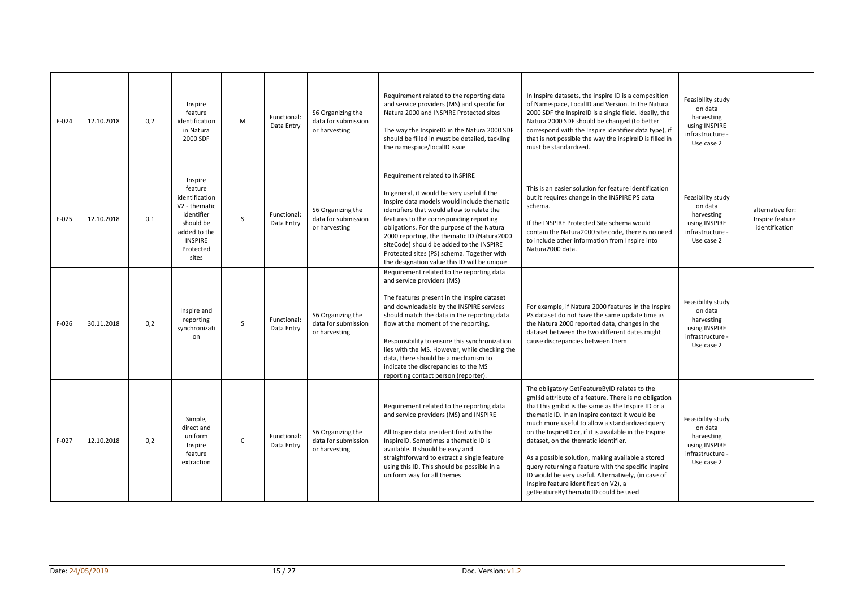| $F-024$ | 12.10.2018 | 0,2 | Inspire<br>feature<br>identification<br>in Natura<br>2000 SDF                                                                            | M | Functional:<br>Data Entry | S6 Organizing the<br>data for submission<br>or harvesting | Requirement related to the reporting data<br>and service providers (MS) and specific for<br>Natura 2000 and INSPIRE Protected sites<br>The way the InspireID in the Natura 2000 SDF<br>should be filled in must be detailed, tackling<br>the namespace/localID issue                                                                                                                                                                                                                | In Inspire datasets, the inspire ID is a composition<br>of Namespace, LocalID and Version. In the Natura<br>2000 SDF the InspireID is a single field. Ideally, the<br>Natura 2000 SDF should be changed (to better<br>correspond with the Inspire identifier data type), if<br>that is not possible the way the inspireID is filled in<br>must be standardized.                                                                                                                                                                                                                                                         | Feasibility study<br>on data<br>harvesting<br>using INSPIRE<br>infrastructure -<br>Use case 2 |                                                       |
|---------|------------|-----|------------------------------------------------------------------------------------------------------------------------------------------|---|---------------------------|-----------------------------------------------------------|-------------------------------------------------------------------------------------------------------------------------------------------------------------------------------------------------------------------------------------------------------------------------------------------------------------------------------------------------------------------------------------------------------------------------------------------------------------------------------------|-------------------------------------------------------------------------------------------------------------------------------------------------------------------------------------------------------------------------------------------------------------------------------------------------------------------------------------------------------------------------------------------------------------------------------------------------------------------------------------------------------------------------------------------------------------------------------------------------------------------------|-----------------------------------------------------------------------------------------------|-------------------------------------------------------|
| $F-025$ | 12.10.2018 | 0.1 | Inspire<br>feature<br>identification<br>V2 - thematic<br>identifier<br>should be<br>added to the<br><b>INSPIRE</b><br>Protected<br>sites | S | Functional:<br>Data Entry | S6 Organizing the<br>data for submission<br>or harvesting | Requirement related to INSPIRE<br>In general, it would be very useful if the<br>Inspire data models would include thematic<br>identifiers that would allow to relate the<br>features to the corresponding reporting<br>obligations. For the purpose of the Natura<br>2000 reporting, the thematic ID (Natura2000<br>siteCode) should be added to the INSPIRE<br>Protected sites (PS) schema. Together with<br>the designation value this ID will be unique                          | This is an easier solution for feature identification<br>but it requires change in the INSPIRE PS data<br>schema.<br>If the INSPIRE Protected Site schema would<br>contain the Natura2000 site code, there is no need<br>to include other information from Inspire into<br>Natura2000 data.                                                                                                                                                                                                                                                                                                                             | Feasibility study<br>on data<br>harvesting<br>using INSPIRE<br>infrastructure -<br>Use case 2 | alternative for:<br>Inspire feature<br>identification |
| $F-026$ | 30.11.2018 | 0.2 | Inspire and<br>reporting<br>synchronizati<br>on                                                                                          | S | Functional:<br>Data Entry | S6 Organizing the<br>data for submission<br>or harvesting | Requirement related to the reporting data<br>and service providers (MS)<br>The features present in the Inspire dataset<br>and downloadable by the INSPIRE services<br>should match the data in the reporting data<br>flow at the moment of the reporting.<br>Responsibility to ensure this synchronization<br>lies with the MS. However, while checking the<br>data, there should be a mechanism to<br>indicate the discrepancies to the MS<br>reporting contact person (reporter). | For example, if Natura 2000 features in the Inspire<br>PS dataset do not have the same update time as<br>the Natura 2000 reported data, changes in the<br>dataset between the two different dates might<br>cause discrepancies between them                                                                                                                                                                                                                                                                                                                                                                             | Feasibility study<br>on data<br>harvesting<br>using INSPIRE<br>infrastructure -<br>Use case 2 |                                                       |
| $F-027$ | 12.10.2018 | 0,2 | Simple,<br>direct and<br>uniform<br>Inspire<br>feature<br>extraction                                                                     | C | Functional:<br>Data Entry | S6 Organizing the<br>data for submission<br>or harvesting | Requirement related to the reporting data<br>and service providers (MS) and INSPIRE<br>All Inspire data are identified with the<br>InspireID. Sometimes a thematic ID is<br>available. It should be easy and<br>straightforward to extract a single feature<br>using this ID. This should be possible in a<br>uniform way for all themes                                                                                                                                            | The obligatory GetFeatureByID relates to the<br>gml:id attribute of a feature. There is no obligation<br>that this gml: id is the same as the Inspire ID or a<br>thematic ID. In an Inspire context it would be<br>much more useful to allow a standardized query<br>on the InspireID or, if it is available in the Inspire<br>dataset, on the thematic identifier.<br>As a possible solution, making available a stored<br>query returning a feature with the specific Inspire<br>ID would be very useful. Alternatively, (in case of<br>Inspire feature identification V2), a<br>getFeatureByThematicID could be used | Feasibility study<br>on data<br>harvesting<br>using INSPIRE<br>infrastructure -<br>Use case 2 |                                                       |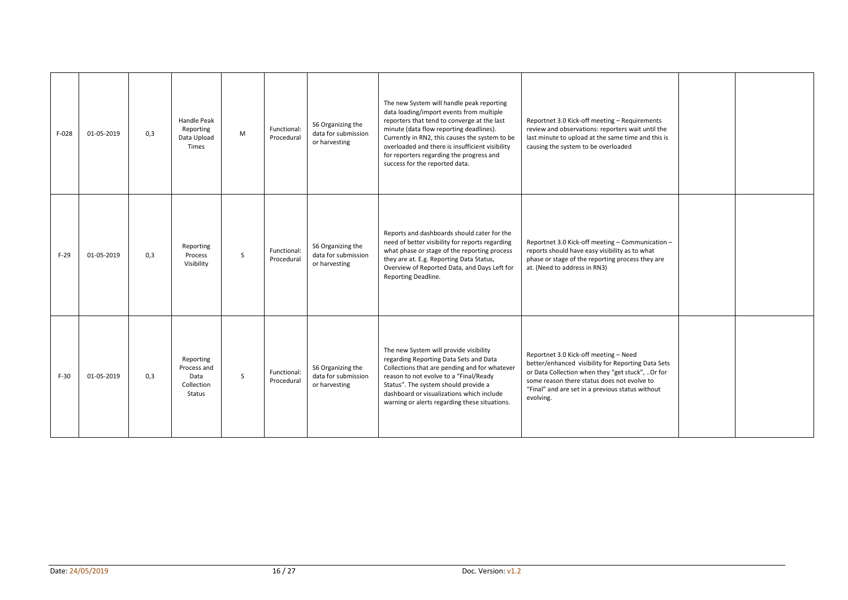| $F-028$ | 01-05-2019 | 0.3 | Handle Peak<br>Reporting<br>Data Upload<br><b>Times</b>  | M | Functional:<br>Procedural | S6 Organizing the<br>data for submission<br>or harvesting | The new System will handle peak reporting<br>data loading/import events from multiple<br>reporters that tend to converge at the last<br>minute (data flow reporting deadlines).<br>Currently in RN2, this causes the system to be<br>overloaded and there is insufficient visibility<br>for reporters regarding the progress and<br>success for the reported data. | Reportnet 3.0 Kick-off meeting - Requirements<br>review and observations: reporters wait until the<br>last minute to upload at the same time and this is<br>causing the system to be overloaded                                                                 |  |
|---------|------------|-----|----------------------------------------------------------|---|---------------------------|-----------------------------------------------------------|--------------------------------------------------------------------------------------------------------------------------------------------------------------------------------------------------------------------------------------------------------------------------------------------------------------------------------------------------------------------|-----------------------------------------------------------------------------------------------------------------------------------------------------------------------------------------------------------------------------------------------------------------|--|
| $F-29$  | 01-05-2019 | 0.3 | Reporting<br>Process<br>Visibility                       | S | Functional:<br>Procedural | S6 Organizing the<br>data for submission<br>or harvesting | Reports and dashboards should cater for the<br>need of better visibility for reports regarding<br>what phase or stage of the reporting process<br>they are at. E.g. Reporting Data Status,<br>Overview of Reported Data, and Days Left for<br>Reporting Deadline.                                                                                                  | Reportnet 3.0 Kick-off meeting - Communication -<br>reports should have easy visibility as to what<br>phase or stage of the reporting process they are<br>at. (Need to address in RN3)                                                                          |  |
| $F-30$  | 01-05-2019 | 0,3 | Reporting<br>Process and<br>Data<br>Collection<br>Status | S | Functional:<br>Procedural | S6 Organizing the<br>data for submission<br>or harvesting | The new System will provide visibility<br>regarding Reporting Data Sets and Data<br>Collections that are pending and for whatever<br>reason to not evolve to a "Final/Ready<br>Status". The system should provide a<br>dashboard or visualizations which include<br>warning or alerts regarding these situations.                                                  | Reportnet 3.0 Kick-off meeting - Need<br>better/enhanced visibility for Reporting Data Sets<br>or Data Collection when they "get stuck", Or for<br>some reason there status does not evolve to<br>"Final" and are set in a previous status without<br>evolving. |  |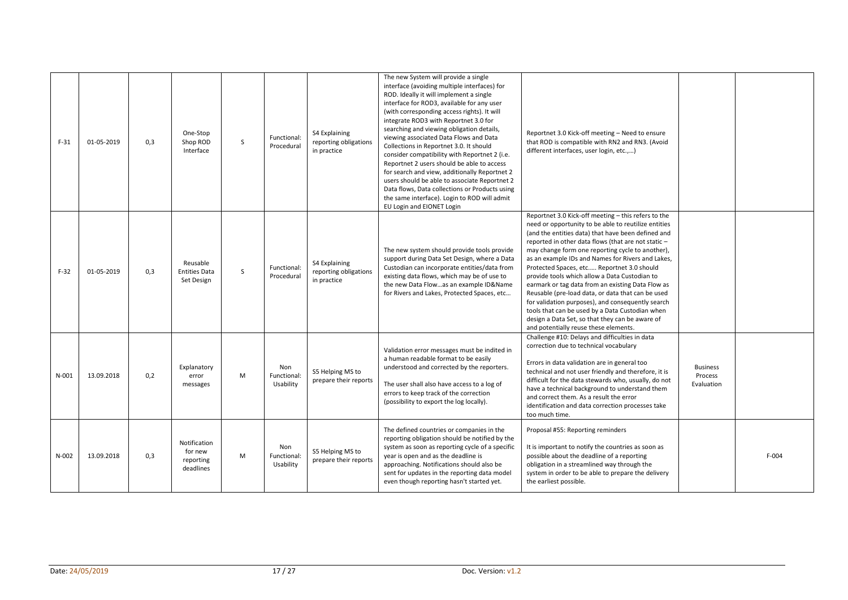| $F-31$  | 01-05-2019 | 0,3 | One-Stop<br>Shop ROD<br>Interface                 | S | Functional:<br>Procedural       | S4 Explaining<br>reporting obligations<br>in practice | The new System will provide a single<br>interface (avoiding multiple interfaces) for<br>ROD. Ideally it will implement a single<br>interface for ROD3, available for any user<br>(with corresponding access rights). It will<br>integrate ROD3 with Reportnet 3.0 for<br>searching and viewing obligation details,<br>viewing associated Data Flows and Data<br>Collections in Reportnet 3.0. It should<br>consider compatibility with Reportnet 2 (i.e.<br>Reportnet 2 users should be able to access<br>for search and view, additionally Reportnet 2<br>users should be able to associate Reportnet 2<br>Data flows, Data collections or Products using<br>the same interface). Login to ROD will admit<br>EU Login and EIONET Login | Reportnet 3.0 Kick-off meeting - Need to ensure<br>that ROD is compatible with RN2 and RN3. (Avoid<br>different interfaces, user login, etc.,)                                                                                                                                                                                                                                                                                                                                                                                                                                                                                                                                                                                                 |                                          |         |
|---------|------------|-----|---------------------------------------------------|---|---------------------------------|-------------------------------------------------------|-----------------------------------------------------------------------------------------------------------------------------------------------------------------------------------------------------------------------------------------------------------------------------------------------------------------------------------------------------------------------------------------------------------------------------------------------------------------------------------------------------------------------------------------------------------------------------------------------------------------------------------------------------------------------------------------------------------------------------------------|------------------------------------------------------------------------------------------------------------------------------------------------------------------------------------------------------------------------------------------------------------------------------------------------------------------------------------------------------------------------------------------------------------------------------------------------------------------------------------------------------------------------------------------------------------------------------------------------------------------------------------------------------------------------------------------------------------------------------------------------|------------------------------------------|---------|
| $F-32$  | 01-05-2019 | 0,3 | Reusable<br><b>Entities Data</b><br>Set Design    | S | Functional:<br>Procedural       | S4 Explaining<br>reporting obligations<br>in practice | The new system should provide tools provide<br>support during Data Set Design, where a Data<br>Custodian can incorporate entities/data from<br>existing data flows, which may be of use to<br>the new Data Flowas an example ID&Name<br>for Rivers and Lakes, Protected Spaces, etc                                                                                                                                                                                                                                                                                                                                                                                                                                                     | Reportnet 3.0 Kick-off meeting - this refers to the<br>need or opportunity to be able to reutilize entities<br>(and the entities data) that have been defined and<br>reported in other data flows (that are not static -<br>may change form one reporting cycle to another),<br>as an example IDs and Names for Rivers and Lakes,<br>Protected Spaces, etc Reportnet 3.0 should<br>provide tools which allow a Data Custodian to<br>earmark or tag data from an existing Data Flow as<br>Reusable (pre-load data, or data that can be used<br>for validation purposes), and consequently search<br>tools that can be used by a Data Custodian when<br>design a Data Set, so that they can be aware of<br>and potentially reuse these elements. |                                          |         |
| $N-001$ | 13.09.2018 | 0,2 | Explanatory<br>error<br>messages                  | M | Non<br>Functional:<br>Usability | S5 Helping MS to<br>prepare their reports             | Validation error messages must be indited in<br>a human readable format to be easily<br>understood and corrected by the reporters.<br>The user shall also have access to a log of<br>errors to keep track of the correction<br>(possibility to export the log locally).                                                                                                                                                                                                                                                                                                                                                                                                                                                                 | Challenge #10: Delays and difficulties in data<br>correction due to technical vocabulary<br>Errors in data validation are in general too<br>technical and not user friendly and therefore, it is<br>difficult for the data stewards who, usually, do not<br>have a technical background to understand them<br>and correct them. As a result the error<br>identification and data correction processes take<br>too much time.                                                                                                                                                                                                                                                                                                                   | <b>Business</b><br>Process<br>Evaluation |         |
| N-002   | 13.09.2018 | 0,3 | Notification<br>for new<br>reporting<br>deadlines | M | Non<br>Functional:<br>Usability | S5 Helping MS to<br>prepare their reports             | The defined countries or companies in the<br>reporting obligation should be notified by the<br>system as soon as reporting cycle of a specific<br>year is open and as the deadline is<br>approaching. Notifications should also be<br>sent for updates in the reporting data model<br>even though reporting hasn't started yet.                                                                                                                                                                                                                                                                                                                                                                                                         | Proposal #55: Reporting reminders<br>It is important to notify the countries as soon as<br>possible about the deadline of a reporting<br>obligation in a streamlined way through the<br>system in order to be able to prepare the delivery<br>the earliest possible.                                                                                                                                                                                                                                                                                                                                                                                                                                                                           |                                          | $F-004$ |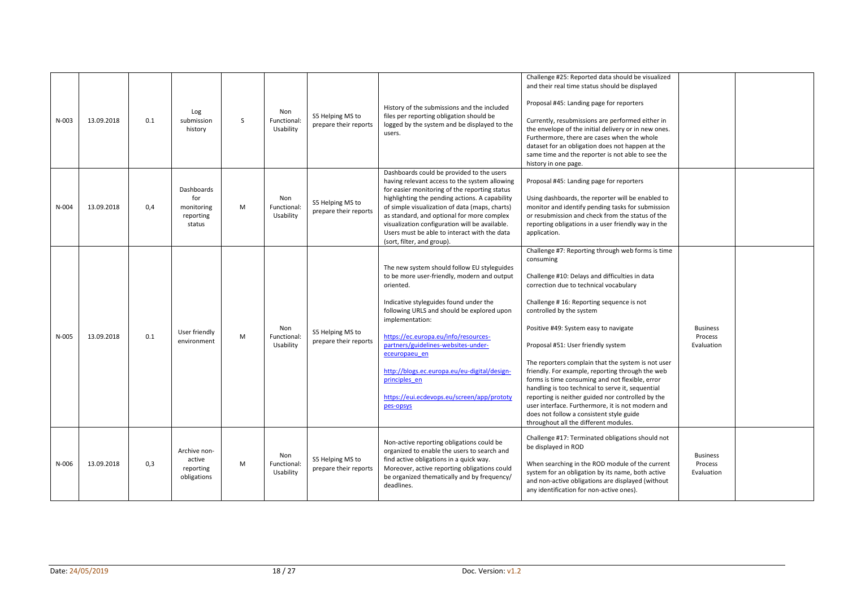| N-003     | 13.09.2018 | 0.1 | Log<br>submission<br>history                           | S | Non<br>Functional:<br>Usability | S5 Helping MS to<br>prepare their reports | History of the submissions and the included<br>files per reporting obligation should be<br>logged by the system and be displayed to the<br>users.                                                                                                                                                                                                                                                                                              | Challenge #25: Reported data should be visualized<br>and their real time status should be displayed<br>Proposal #45: Landing page for reporters<br>Currently, resubmissions are performed either in<br>the envelope of the initial delivery or in new ones.<br>Furthermore, there are cases when the whole<br>dataset for an obligation does not happen at the                                                                                                                                                                                                                                                                                                                                                                     |                                          |  |
|-----------|------------|-----|--------------------------------------------------------|---|---------------------------------|-------------------------------------------|------------------------------------------------------------------------------------------------------------------------------------------------------------------------------------------------------------------------------------------------------------------------------------------------------------------------------------------------------------------------------------------------------------------------------------------------|------------------------------------------------------------------------------------------------------------------------------------------------------------------------------------------------------------------------------------------------------------------------------------------------------------------------------------------------------------------------------------------------------------------------------------------------------------------------------------------------------------------------------------------------------------------------------------------------------------------------------------------------------------------------------------------------------------------------------------|------------------------------------------|--|
| $N - 004$ | 13.09.2018 | 0,4 | Dashboards<br>for<br>monitoring<br>reporting<br>status | M | Non<br>Functional:<br>Usability | S5 Helping MS to<br>prepare their reports | Dashboards could be provided to the users<br>having relevant access to the system allowing<br>for easier monitoring of the reporting status<br>highlighting the pending actions. A capability<br>of simple visualization of data (maps, charts)<br>as standard, and optional for more complex<br>visualization configuration will be available.<br>Users must be able to interact with the data<br>(sort, filter, and group).                  | same time and the reporter is not able to see the<br>history in one page.<br>Proposal #45: Landing page for reporters<br>Using dashboards, the reporter will be enabled to<br>monitor and identify pending tasks for submission<br>or resubmission and check from the status of the<br>reporting obligations in a user friendly way in the<br>application.                                                                                                                                                                                                                                                                                                                                                                         |                                          |  |
| N-005     | 13.09.2018 | 0.1 | User friendly<br>environment                           | M | Non<br>Functional:<br>Usability | S5 Helping MS to<br>prepare their reports | The new system should follow EU styleguides<br>to be more user-friendly, modern and output<br>oriented.<br>Indicative styleguides found under the<br>following URLS and should be explored upon<br>implementation:<br>https://ec.europa.eu/info/resources-<br>partners/guidelines-websites-under-<br>eceuropaeu en<br>http://blogs.ec.europa.eu/eu-digital/design-<br>principles en<br>https://eui.ecdevops.eu/screen/app/prototy<br>pes-opsys | Challenge #7: Reporting through web forms is time<br>consuming<br>Challenge #10: Delays and difficulties in data<br>correction due to technical vocabulary<br>Challenge #16: Reporting sequence is not<br>controlled by the system<br>Positive #49: System easy to navigate<br>Proposal #51: User friendly system<br>The reporters complain that the system is not user<br>friendly. For example, reporting through the web<br>forms is time consuming and not flexible, error<br>handling is too technical to serve it, sequential<br>reporting is neither guided nor controlled by the<br>user interface. Furthermore, it is not modern and<br>does not follow a consistent style guide<br>throughout all the different modules. | <b>Business</b><br>Process<br>Evaluation |  |
| $N-006$   | 13.09.2018 | 0,3 | Archive non-<br>active<br>reporting<br>obligations     | M | Non<br>Functional:<br>Usability | S5 Helping MS to<br>prepare their reports | Non-active reporting obligations could be<br>organized to enable the users to search and<br>find active obligations in a quick way.<br>Moreover, active reporting obligations could<br>be organized thematically and by frequency/<br>deadlines.                                                                                                                                                                                               | Challenge #17: Terminated obligations should not<br>be displayed in ROD<br>When searching in the ROD module of the current<br>system for an obligation by its name, both active<br>and non-active obligations are displayed (without<br>any identification for non-active ones).                                                                                                                                                                                                                                                                                                                                                                                                                                                   | <b>Business</b><br>Process<br>Evaluation |  |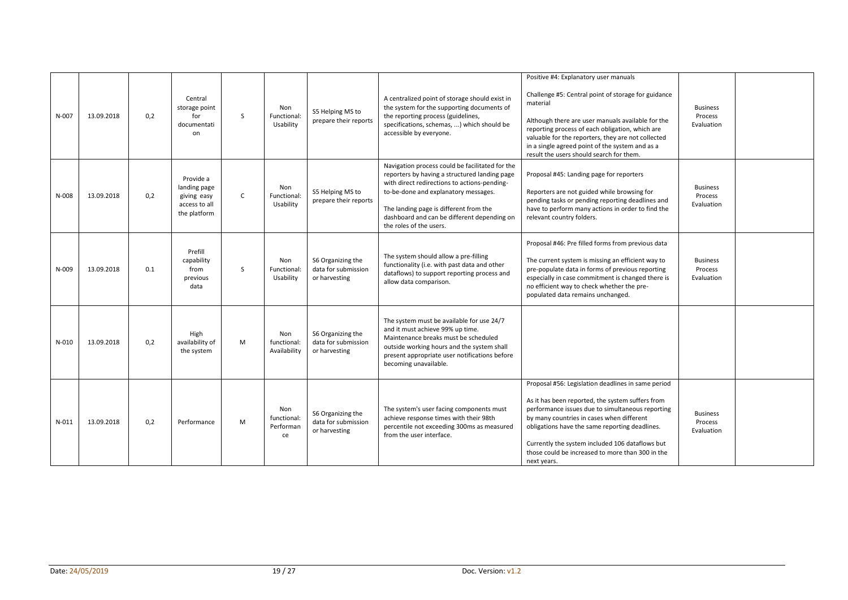| N-007     | 13.09.2018 | 0,2 | Central<br>storage point<br>for<br>documentati<br>on                      | S            | Non<br>Functional:<br>Usability       | S5 Helping MS to<br>prepare their reports                 | A centralized point of storage should exist in<br>the system for the supporting documents of<br>the reporting process (guidelines,<br>specifications, schemas, ) which should be<br>accessible by everyone.                                                                                                  | Positive #4: Explanatory user manuals<br>Challenge #5: Central point of storage for guidance<br>material<br>Although there are user manuals available for the<br>reporting process of each obligation, which are<br>valuable for the reporters, they are not collected<br>in a single agreed point of the system and as a<br>result the users should search for them.           | <b>Business</b><br>Process<br>Evaluation |  |
|-----------|------------|-----|---------------------------------------------------------------------------|--------------|---------------------------------------|-----------------------------------------------------------|--------------------------------------------------------------------------------------------------------------------------------------------------------------------------------------------------------------------------------------------------------------------------------------------------------------|---------------------------------------------------------------------------------------------------------------------------------------------------------------------------------------------------------------------------------------------------------------------------------------------------------------------------------------------------------------------------------|------------------------------------------|--|
| $N-008$   | 13.09.2018 | 0.2 | Provide a<br>landing page<br>giving easy<br>access to all<br>the platform | $\mathsf{C}$ | Non<br>Functional:<br>Usability       | S5 Helping MS to<br>prepare their reports                 | Navigation process could be facilitated for the<br>reporters by having a structured landing page<br>with direct redirections to actions-pending-<br>to-be-done and explanatory messages.<br>The landing page is different from the<br>dashboard and can be different depending on<br>the roles of the users. | Proposal #45: Landing page for reporters<br>Reporters are not guided while browsing for<br>pending tasks or pending reporting deadlines and<br>have to perform many actions in order to find the<br>relevant country folders.                                                                                                                                                   | <b>Business</b><br>Process<br>Evaluation |  |
| $N - 009$ | 13.09.2018 | 0.1 | Prefill<br>capability<br>from<br>previous<br>data                         | S.           | Non<br>Functional:<br>Usability       | S6 Organizing the<br>data for submission<br>or harvesting | The system should allow a pre-filling<br>functionality (i.e. with past data and other<br>dataflows) to support reporting process and<br>allow data comparison.                                                                                                                                               | Proposal #46: Pre filled forms from previous data<br>The current system is missing an efficient way to<br>pre-populate data in forms of previous reporting<br>especially in case commitment is changed there is<br>no efficient way to check whether the pre-<br>populated data remains unchanged.                                                                              | <b>Business</b><br>Process<br>Evaluation |  |
| $N-010$   | 13.09.2018 | 0,2 | High<br>availability of<br>the system                                     | M            | Non<br>functional:<br>Availability    | S6 Organizing the<br>data for submission<br>or harvesting | The system must be available for use 24/7<br>and it must achieve 99% up time.<br>Maintenance breaks must be scheduled<br>outside working hours and the system shall<br>present appropriate user notifications before<br>becoming unavailable.                                                                |                                                                                                                                                                                                                                                                                                                                                                                 |                                          |  |
| $N - 011$ | 13.09.2018 | 0,2 | Performance                                                               | M            | Non<br>functional:<br>Performan<br>ce | S6 Organizing the<br>data for submission<br>or harvesting | The system's user facing components must<br>achieve response times with their 98th<br>percentile not exceeding 300ms as measured<br>from the user interface.                                                                                                                                                 | Proposal #56: Legislation deadlines in same period<br>As it has been reported, the system suffers from<br>performance issues due to simultaneous reporting<br>by many countries in cases when different<br>obligations have the same reporting deadlines.<br>Currently the system included 106 dataflows but<br>those could be increased to more than 300 in the<br>next years. | <b>Business</b><br>Process<br>Evaluation |  |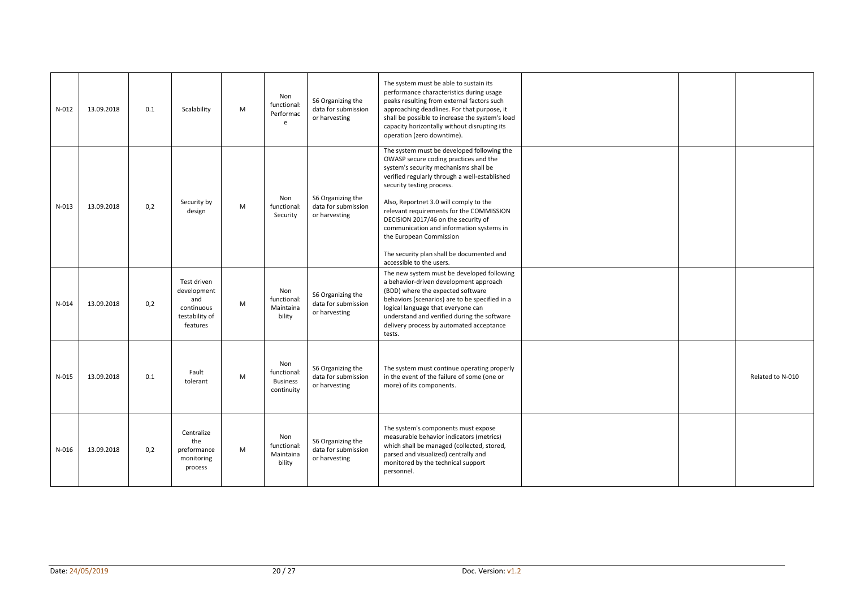| $N-012$          | 13.09.2018 | 0.1 | Scalability                                                                   | M | Non<br>functional:<br>Performac<br>e                | S6 Organizing the<br>data for submission<br>or harvesting | The system must be able to sustain its<br>performance characteristics during usage<br>peaks resulting from external factors such<br>approaching deadlines. For that purpose, it<br>shall be possible to increase the system's load<br>capacity horizontally without disrupting its<br>operation (zero downtime).                                                                                                                                                                        |  |                  |
|------------------|------------|-----|-------------------------------------------------------------------------------|---|-----------------------------------------------------|-----------------------------------------------------------|-----------------------------------------------------------------------------------------------------------------------------------------------------------------------------------------------------------------------------------------------------------------------------------------------------------------------------------------------------------------------------------------------------------------------------------------------------------------------------------------|--|------------------|
| $N-013$          | 13.09.2018 | 0,2 | Security by<br>design                                                         | M | Non<br>functional:<br>Security                      | S6 Organizing the<br>data for submission<br>or harvesting | The system must be developed following the<br>OWASP secure coding practices and the<br>system's security mechanisms shall be<br>verified regularly through a well-established<br>security testing process.<br>Also, Reportnet 3.0 will comply to the<br>relevant requirements for the COMMISSION<br>DECISION 2017/46 on the security of<br>communication and information systems in<br>the European Commission<br>The security plan shall be documented and<br>accessible to the users. |  |                  |
| $N-014$          | 13.09.2018 | 0,2 | Test driven<br>development<br>and<br>continuous<br>testability of<br>features | M | Non<br>functional:<br>Maintaina<br>bility           | S6 Organizing the<br>data for submission<br>or harvesting | The new system must be developed following<br>a behavior-driven development approach<br>(BDD) where the expected software<br>behaviors (scenarios) are to be specified in a<br>logical language that everyone can<br>understand and verified during the software<br>delivery process by automated acceptance<br>tests.                                                                                                                                                                  |  |                  |
| $N-015$          | 13.09.2018 | 0.1 | Fault<br>tolerant                                                             | M | Non<br>functional:<br><b>Business</b><br>continuity | S6 Organizing the<br>data for submission<br>or harvesting | The system must continue operating properly<br>in the event of the failure of some (one or<br>more) of its components.                                                                                                                                                                                                                                                                                                                                                                  |  | Related to N-010 |
| $N-016$          | 13.09.2018 | 0,2 | Centralize<br>the<br>preformance<br>monitoring<br>process                     | M | Non<br>functional:<br>Maintaina<br>bility           | S6 Organizing the<br>data for submission<br>or harvesting | The system's components must expose<br>measurable behavior indicators (metrics)<br>which shall be managed (collected, stored,<br>parsed and visualized) centrally and<br>monitored by the technical support<br>personnel.                                                                                                                                                                                                                                                               |  |                  |
|                  |            |     |                                                                               |   |                                                     |                                                           |                                                                                                                                                                                                                                                                                                                                                                                                                                                                                         |  |                  |
| Date: 24/05/2019 |            |     |                                                                               |   | 20/27                                               |                                                           | Doc. Version: v1.2                                                                                                                                                                                                                                                                                                                                                                                                                                                                      |  |                  |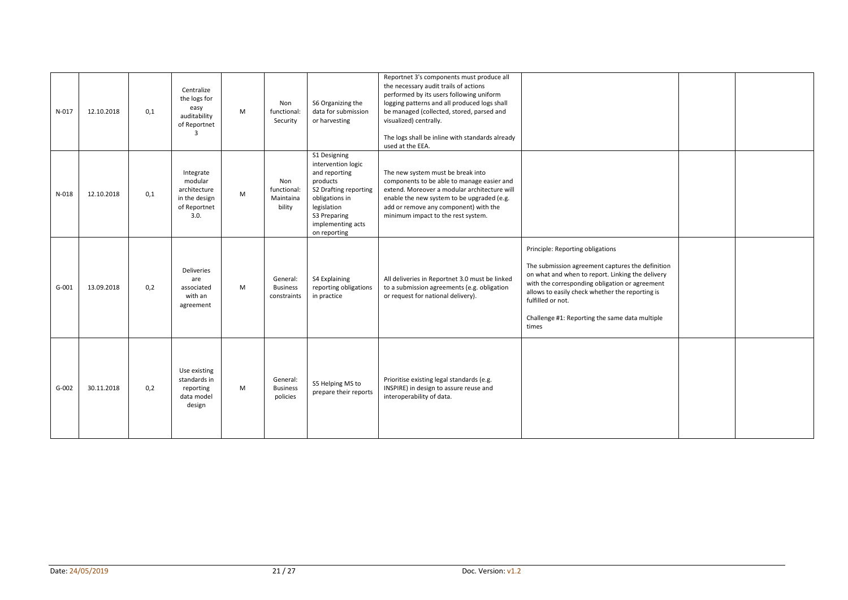| $N-017$ | 12.10.2018 | 0,1 | Centralize<br>the logs for<br>easy<br>auditability<br>of Reportnet<br>$\mathbf{a}$ | M | Non<br>functional:<br>Security             | S6 Organizing the<br>data for submission<br>or harvesting                                                                                                                      | Reportnet 3's components must produce all<br>the necessary audit trails of actions<br>performed by its users following uniform<br>logging patterns and all produced logs shall<br>be managed (collected, stored, parsed and<br>visualized) centrally.<br>The logs shall be inline with standards already<br>used at the EEA. |                                                                                                                                                                                                                                                                                                                               |  |
|---------|------------|-----|------------------------------------------------------------------------------------|---|--------------------------------------------|--------------------------------------------------------------------------------------------------------------------------------------------------------------------------------|------------------------------------------------------------------------------------------------------------------------------------------------------------------------------------------------------------------------------------------------------------------------------------------------------------------------------|-------------------------------------------------------------------------------------------------------------------------------------------------------------------------------------------------------------------------------------------------------------------------------------------------------------------------------|--|
| $N-018$ | 12.10.2018 | 0,1 | Integrate<br>modular<br>architecture<br>in the design<br>of Reportnet<br>3.0.      | M | Non<br>functional:<br>Maintaina<br>bility  | S1 Designing<br>intervention logic<br>and reporting<br>products<br>S2 Drafting reporting<br>obligations in<br>legislation<br>S3 Preparing<br>implementing acts<br>on reporting | The new system must be break into<br>components to be able to manage easier and<br>extend. Moreover a modular architecture will<br>enable the new system to be upgraded (e.g.<br>add or remove any component) with the<br>minimum impact to the rest system.                                                                 |                                                                                                                                                                                                                                                                                                                               |  |
| $G-001$ | 13.09.2018 | 0,2 | <b>Deliveries</b><br>are<br>associated<br>with an<br>agreement                     | M | General:<br><b>Business</b><br>constraints | S4 Explaining<br>reporting obligations<br>in practice                                                                                                                          | All deliveries in Reportnet 3.0 must be linked<br>to a submission agreements (e.g. obligation<br>or request for national delivery).                                                                                                                                                                                          | Principle: Reporting obligations<br>The submission agreement captures the definition<br>on what and when to report. Linking the delivery<br>with the corresponding obligation or agreement<br>allows to easily check whether the reporting is<br>fulfilled or not.<br>Challenge #1: Reporting the same data multiple<br>times |  |
| $G-002$ | 30.11.2018 | 0,2 | Use existing<br>standards in<br>reporting<br>data model<br>design                  | M | General:<br><b>Business</b><br>policies    | S5 Helping MS to<br>prepare their reports                                                                                                                                      | Prioritise existing legal standards (e.g.<br>INSPIRE) in design to assure reuse and<br>interoperability of data.                                                                                                                                                                                                             |                                                                                                                                                                                                                                                                                                                               |  |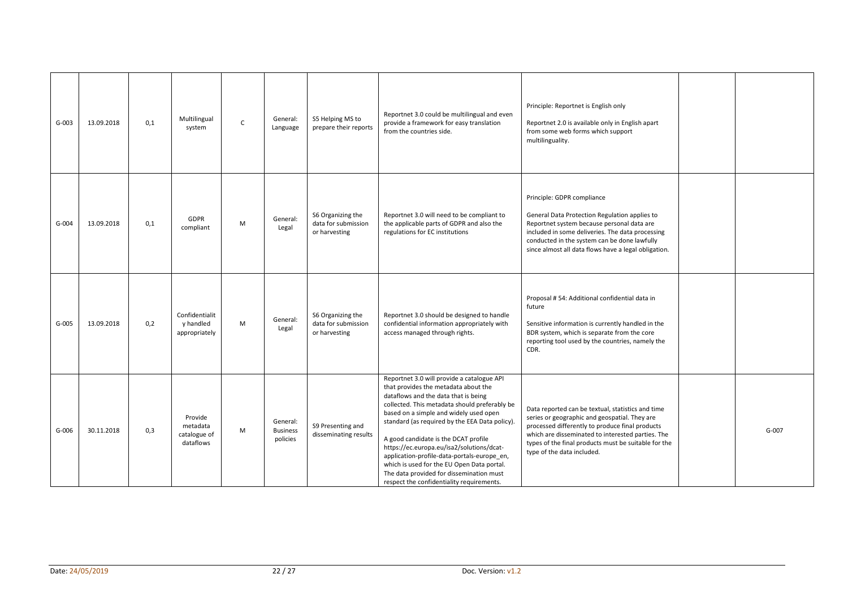| $G-003$ | 13.09.2018 | 0,1 | Multilingual<br>system                           | $\mathsf{C}$ | General:<br>Language                    | S5 Helping MS to<br>prepare their reports                 | Reportnet 3.0 could be multilingual and even<br>provide a framework for easy translation<br>from the countries side.                                                                                                                                                                                                                                                                                                                                                                                                                               | Principle: Reportnet is English only<br>Reportnet 2.0 is available only in English apart<br>from some web forms which support<br>multilinguality.                                                                                                                                                |           |
|---------|------------|-----|--------------------------------------------------|--------------|-----------------------------------------|-----------------------------------------------------------|----------------------------------------------------------------------------------------------------------------------------------------------------------------------------------------------------------------------------------------------------------------------------------------------------------------------------------------------------------------------------------------------------------------------------------------------------------------------------------------------------------------------------------------------------|--------------------------------------------------------------------------------------------------------------------------------------------------------------------------------------------------------------------------------------------------------------------------------------------------|-----------|
| $G-004$ | 13.09.2018 | 0,1 | GDPR<br>compliant                                | M            | General:<br>Legal                       | S6 Organizing the<br>data for submission<br>or harvesting | Reportnet 3.0 will need to be compliant to<br>the applicable parts of GDPR and also the<br>regulations for EC institutions                                                                                                                                                                                                                                                                                                                                                                                                                         | Principle: GDPR compliance<br>General Data Protection Regulation applies to<br>Reportnet system because personal data are<br>included in some deliveries. The data processing<br>conducted in the system can be done lawfully<br>since almost all data flows have a legal obligation.            |           |
| $G-005$ | 13.09.2018 | 0,2 | Confidentialit<br>y handled<br>appropriately     | M            | General:<br>Legal                       | S6 Organizing the<br>data for submission<br>or harvesting | Reportnet 3.0 should be designed to handle<br>confidential information appropriately with<br>access managed through rights.                                                                                                                                                                                                                                                                                                                                                                                                                        | Proposal #54: Additional confidential data in<br>future<br>Sensitive information is currently handled in the<br>BDR system, which is separate from the core<br>reporting tool used by the countries, namely the<br>CDR.                                                                          |           |
| $G-006$ | 30.11.2018 | 0,3 | Provide<br>metadata<br>catalogue of<br>dataflows | M            | General:<br><b>Business</b><br>policies | S9 Presenting and<br>disseminating results                | Reportnet 3.0 will provide a catalogue API<br>that provides the metadata about the<br>dataflows and the data that is being<br>collected. This metadata should preferably be<br>based on a simple and widely used open<br>standard (as required by the EEA Data policy).<br>A good candidate is the DCAT profile<br>https://ec.europa.eu/isa2/solutions/dcat-<br>application-profile-data-portals-europe_en,<br>which is used for the EU Open Data portal.<br>The data provided for dissemination must<br>respect the confidentiality requirements. | Data reported can be textual, statistics and time<br>series or geographic and geospatial. They are<br>processed differently to produce final products<br>which are disseminated to interested parties. The<br>types of the final products must be suitable for the<br>type of the data included. | $G - 007$ |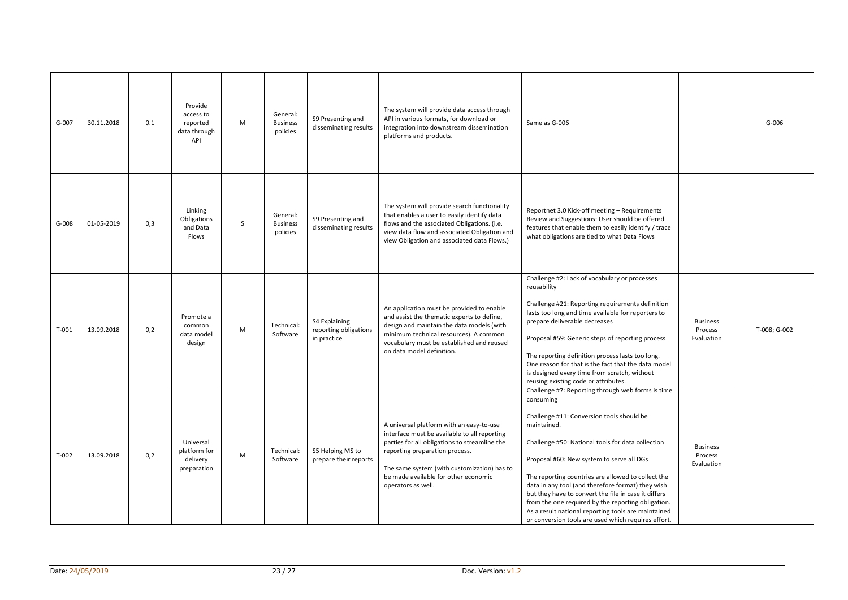| $G-007$ | 30.11.2018 | 0.1 | Provide<br>access to<br>reported<br>data through<br>API | M | General:<br><b>Business</b><br>policies | S9 Presenting and<br>disseminating results            | The system will provide data access through<br>API in various formats, for download or<br>integration into downstream dissemination<br>platforms and products.                                                                                                                           | Same as G-006                                                                                                                                                                                                                                                                                                                                                                                                                                                                                                                                                       |                                          | $G-006$      |
|---------|------------|-----|---------------------------------------------------------|---|-----------------------------------------|-------------------------------------------------------|------------------------------------------------------------------------------------------------------------------------------------------------------------------------------------------------------------------------------------------------------------------------------------------|---------------------------------------------------------------------------------------------------------------------------------------------------------------------------------------------------------------------------------------------------------------------------------------------------------------------------------------------------------------------------------------------------------------------------------------------------------------------------------------------------------------------------------------------------------------------|------------------------------------------|--------------|
| $G-008$ | 01-05-2019 | 0,3 | Linking<br>Obligations<br>and Data<br>Flows             | S | General:<br><b>Business</b><br>policies | S9 Presenting and<br>disseminating results            | The system will provide search functionality<br>that enables a user to easily identify data<br>flows and the associated Obligations. (i.e.<br>view data flow and associated Obligation and<br>view Obligation and associated data Flows.)                                                | Reportnet 3.0 Kick-off meeting - Requirements<br>Review and Suggestions: User should be offered<br>features that enable them to easily identify / trace<br>what obligations are tied to what Data Flows                                                                                                                                                                                                                                                                                                                                                             |                                          |              |
| $T-001$ | 13.09.2018 | 0,2 | Promote a<br>common<br>data model<br>design             | M | Technical:<br>Software                  | S4 Explaining<br>reporting obligations<br>in practice | An application must be provided to enable<br>and assist the thematic experts to define,<br>design and maintain the data models (with<br>minimum technical resources). A common<br>vocabulary must be established and reused<br>on data model definition.                                 | Challenge #2: Lack of vocabulary or processes<br>reusability<br>Challenge #21: Reporting requirements definition<br>lasts too long and time available for reporters to<br>prepare deliverable decreases<br>Proposal #59: Generic steps of reporting process<br>The reporting definition process lasts too long.<br>One reason for that is the fact that the data model<br>is designed every time from scratch, without<br>reusing existing code or attributes.                                                                                                      | <b>Business</b><br>Process<br>Evaluation | T-008; G-002 |
| $T-002$ | 13.09.2018 | 0,2 | Universal<br>platform for<br>delivery<br>preparation    | M | Technical:<br>Software                  | S5 Helping MS to<br>prepare their reports             | A universal platform with an easy-to-use<br>interface must be available to all reporting<br>parties for all obligations to streamline the<br>reporting preparation process.<br>The same system (with customization) has to<br>be made available for other economic<br>operators as well. | Challenge #7: Reporting through web forms is time<br>consuming<br>Challenge #11: Conversion tools should be<br>maintained.<br>Challenge #50: National tools for data collection<br>Proposal #60: New system to serve all DGs<br>The reporting countries are allowed to collect the<br>data in any tool (and therefore format) they wish<br>but they have to convert the file in case it differs<br>from the one required by the reporting obligation.<br>As a result national reporting tools are maintained<br>or conversion tools are used which requires effort. | <b>Business</b><br>Process<br>Evaluation |              |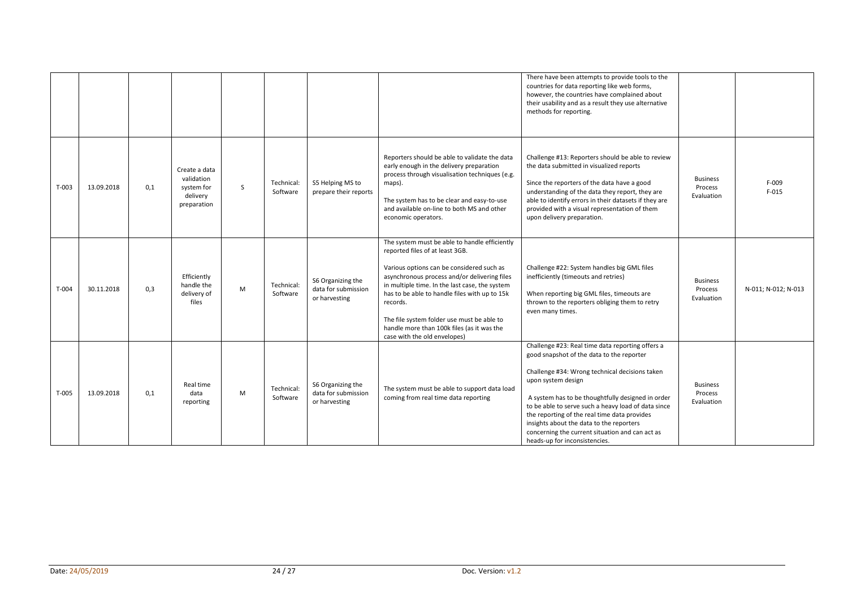|         |            |     |                                                                      |    |                        |                                                           |                                                                                                                                                                                                                                                                                                                                                                                                                          | There have been attempts to provide tools to the<br>countries for data reporting like web forms,<br>however, the countries have complained about<br>their usability and as a result they use alternative<br>methods for reporting.                                                                                                                                                                                                                                |                                          |                     |
|---------|------------|-----|----------------------------------------------------------------------|----|------------------------|-----------------------------------------------------------|--------------------------------------------------------------------------------------------------------------------------------------------------------------------------------------------------------------------------------------------------------------------------------------------------------------------------------------------------------------------------------------------------------------------------|-------------------------------------------------------------------------------------------------------------------------------------------------------------------------------------------------------------------------------------------------------------------------------------------------------------------------------------------------------------------------------------------------------------------------------------------------------------------|------------------------------------------|---------------------|
| $T-003$ | 13.09.2018 | 0,1 | Create a data<br>validation<br>system for<br>delivery<br>preparation | S. | Technical:<br>Software | S5 Helping MS to<br>prepare their reports                 | Reporters should be able to validate the data<br>early enough in the delivery preparation<br>process through visualisation techniques (e.g.<br>maps).<br>The system has to be clear and easy-to-use<br>and available on-line to both MS and other<br>economic operators.                                                                                                                                                 | Challenge #13: Reporters should be able to review<br>the data submitted in visualized reports<br>Since the reporters of the data have a good<br>understanding of the data they report, they are<br>able to identify errors in their datasets if they are<br>provided with a visual representation of them<br>upon delivery preparation.                                                                                                                           | <b>Business</b><br>Process<br>Evaluation | F-009<br>$F-015$    |
| $T-004$ | 30.11.2018 | 0,3 | Efficiently<br>handle the<br>delivery of<br>files                    | M  | Technical:<br>Software | S6 Organizing the<br>data for submission<br>or harvesting | The system must be able to handle efficiently<br>reported files of at least 3GB.<br>Various options can be considered such as<br>asynchronous process and/or delivering files<br>in multiple time. In the last case, the system<br>has to be able to handle files with up to 15k<br>records.<br>The file system folder use must be able to<br>handle more than 100k files (as it was the<br>case with the old envelopes) | Challenge #22: System handles big GML files<br>inefficiently (timeouts and retries)<br>When reporting big GML files, timeouts are<br>thrown to the reporters obliging them to retry<br>even many times.                                                                                                                                                                                                                                                           | <b>Business</b><br>Process<br>Evaluation | N-011; N-012; N-013 |
| $T-005$ | 13.09.2018 | 0,1 | Real time<br>data<br>reporting                                       | M  | Technical:<br>Software | S6 Organizing the<br>data for submission<br>or harvesting | The system must be able to support data load<br>coming from real time data reporting                                                                                                                                                                                                                                                                                                                                     | Challenge #23: Real time data reporting offers a<br>good snapshot of the data to the reporter<br>Challenge #34: Wrong technical decisions taken<br>upon system design<br>A system has to be thoughtfully designed in order<br>to be able to serve such a heavy load of data since<br>the reporting of the real time data provides<br>insights about the data to the reporters<br>concerning the current situation and can act as<br>heads-up for inconsistencies. | <b>Business</b><br>Process<br>Evaluation |                     |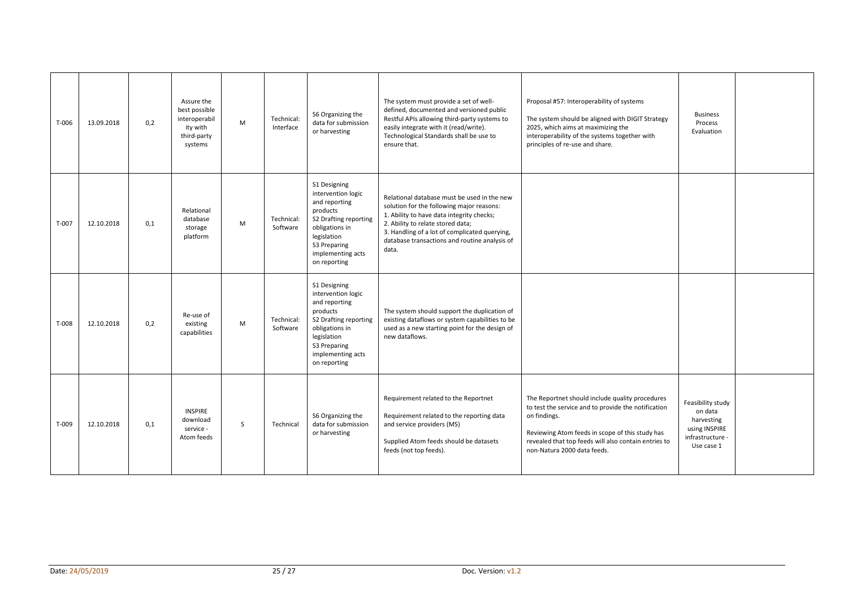| T-006   | 13.09.2018 | 0.2 | Assure the<br>best possible<br>interoperabil<br>ity with<br>third-party<br>systems | M            | Technical:<br>Interface | S6 Organizing the<br>data for submission<br>or harvesting                                                                                                                      | The system must provide a set of well-<br>defined, documented and versioned public<br>Restful APIs allowing third-party systems to<br>easily integrate with it (read/write).<br>Technological Standards shall be use to<br>ensure that.                                               | Proposal #57: Interoperability of systems<br>The system should be aligned with DIGIT Strategy<br>2025, which aims at maximizing the<br>interoperability of the systems together with<br>principles of re-use and share.                                          | <b>Business</b><br>Process<br>Evaluation                                                      |  |
|---------|------------|-----|------------------------------------------------------------------------------------|--------------|-------------------------|--------------------------------------------------------------------------------------------------------------------------------------------------------------------------------|---------------------------------------------------------------------------------------------------------------------------------------------------------------------------------------------------------------------------------------------------------------------------------------|------------------------------------------------------------------------------------------------------------------------------------------------------------------------------------------------------------------------------------------------------------------|-----------------------------------------------------------------------------------------------|--|
| $T-007$ | 12.10.2018 | 0.1 | Relational<br>database<br>storage<br>platform                                      | M            | Technical:<br>Software  | S1 Designing<br>intervention logic<br>and reporting<br>products<br>S2 Drafting reporting<br>obligations in<br>legislation<br>S3 Preparing<br>implementing acts<br>on reporting | Relational database must be used in the new<br>solution for the following major reasons:<br>1. Ability to have data integrity checks;<br>2. Ability to relate stored data;<br>3. Handling of a lot of complicated querying,<br>database transactions and routine analysis of<br>data. |                                                                                                                                                                                                                                                                  |                                                                                               |  |
| T-008   | 12.10.2018 | 0,2 | Re-use of<br>existing<br>capabilities                                              | M            | Technical:<br>Software  | S1 Designing<br>intervention logic<br>and reporting<br>products<br>S2 Drafting reporting<br>obligations in<br>legislation<br>S3 Preparing<br>implementing acts<br>on reporting | The system should support the duplication of<br>existing dataflows or system capabilities to be<br>used as a new starting point for the design of<br>new dataflows.                                                                                                                   |                                                                                                                                                                                                                                                                  |                                                                                               |  |
| T-009   | 12.10.2018 | 0,1 | <b>INSPIRE</b><br>download<br>service -<br>Atom feeds                              | <sub>S</sub> | Technical               | S6 Organizing the<br>data for submission<br>or harvesting                                                                                                                      | Requirement related to the Reportnet<br>Requirement related to the reporting data<br>and service providers (MS)<br>Supplied Atom feeds should be datasets<br>feeds (not top feeds).                                                                                                   | The Reportnet should include quality procedures<br>to test the service and to provide the notification<br>on findings.<br>Reviewing Atom feeds in scope of this study has<br>revealed that top feeds will also contain entries to<br>non-Natura 2000 data feeds. | Feasibility study<br>on data<br>harvesting<br>using INSPIRE<br>infrastructure -<br>Use case 1 |  |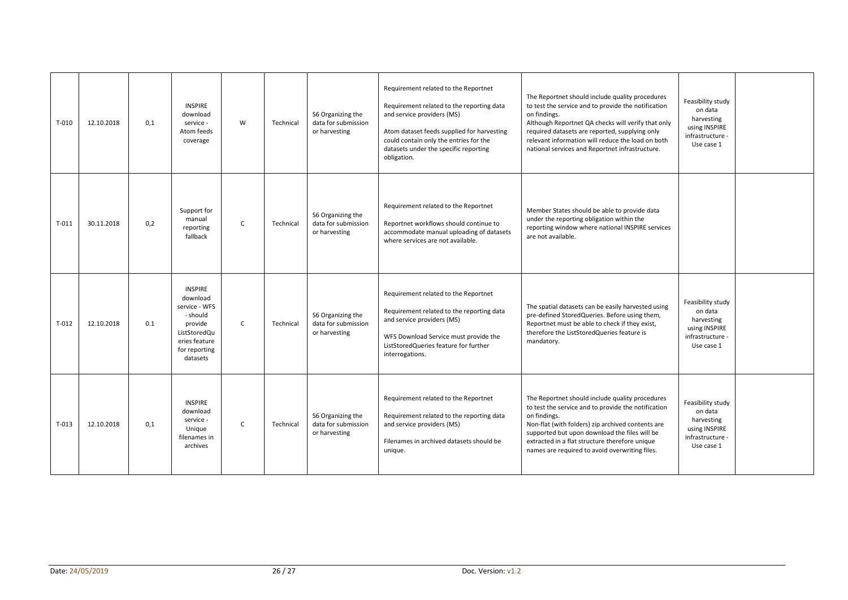| $T-010$ | 12.10.2018 | 0.1 | <b>INSPIRE</b><br>download<br>service -<br>Atom feeds<br>coverage                                                                | W            | Technical | S6 Organizing the<br>data for submission<br>or harvesting | Requirement related to the Reportnet<br>Requirement related to the reporting data<br>and service providers (MS)<br>Atom dataset feeds supplied for harvesting<br>could contain only the entries for the<br>datasets under the specific reporting<br>obligation. | The Reportnet should include quality procedures<br>to test the service and to provide the notification<br>on findings.<br>Although Reportnet QA checks will verify that only<br>required datasets are reported, supplying only<br>relevant information will reduce the load on both<br>national services and Reportnet infrastructure. | Feasibility study<br>on data<br>harvesting<br>using INSPIRE<br>infrastructure -<br>Use case 1 |  |
|---------|------------|-----|----------------------------------------------------------------------------------------------------------------------------------|--------------|-----------|-----------------------------------------------------------|-----------------------------------------------------------------------------------------------------------------------------------------------------------------------------------------------------------------------------------------------------------------|----------------------------------------------------------------------------------------------------------------------------------------------------------------------------------------------------------------------------------------------------------------------------------------------------------------------------------------|-----------------------------------------------------------------------------------------------|--|
| $T-011$ | 30.11.2018 | 0.2 | Support for<br>manual<br>reporting<br>fallback                                                                                   | $\mathsf{C}$ | Technical | S6 Organizing the<br>data for submission<br>or harvesting | Requirement related to the Reportnet<br>Reportnet workflows should continue to<br>accommodate manual uploading of datasets<br>where services are not available.                                                                                                 | Member States should be able to provide data<br>under the reporting obligation within the<br>reporting window where national INSPIRE services<br>are not available.                                                                                                                                                                    |                                                                                               |  |
| $T-012$ | 12.10.2018 | 0.1 | <b>INSPIRE</b><br>download<br>service - WFS<br>- should<br>provide<br>ListStoredQu<br>eries feature<br>for reporting<br>datasets | C            | Technical | S6 Organizing the<br>data for submission<br>or harvesting | Requirement related to the Reportnet<br>Requirement related to the reporting data<br>and service providers (MS)<br>WFS Download Service must provide the<br>ListStoredQueries feature for further<br>interrogations.                                            | The spatial datasets can be easily harvested using<br>pre-defined StoredQueries. Before using them,<br>Reportnet must be able to check if they exist,<br>therefore the ListStoredQueries feature is<br>mandatory.                                                                                                                      | Feasibility study<br>on data<br>harvesting<br>using INSPIRE<br>infrastructure -<br>Use case 1 |  |
| $T-013$ | 12.10.2018 | 0.1 | <b>INSPIRE</b><br>download<br>service -<br>Unique<br>filenames in<br>archives                                                    | $\mathsf{C}$ | Technical | S6 Organizing the<br>data for submission<br>or harvesting | Requirement related to the Reportnet<br>Requirement related to the reporting data<br>and service providers (MS)<br>Filenames in archived datasets should be<br>unique.                                                                                          | The Reportnet should include quality procedures<br>to test the service and to provide the notification<br>on findings.<br>Non-flat (with folders) zip archived contents are<br>supported but upon download the files will be<br>extracted in a flat structure therefore unique<br>names are required to avoid overwriting files.       | Feasibility study<br>on data<br>harvesting<br>using INSPIRE<br>infrastructure -<br>Use case 1 |  |